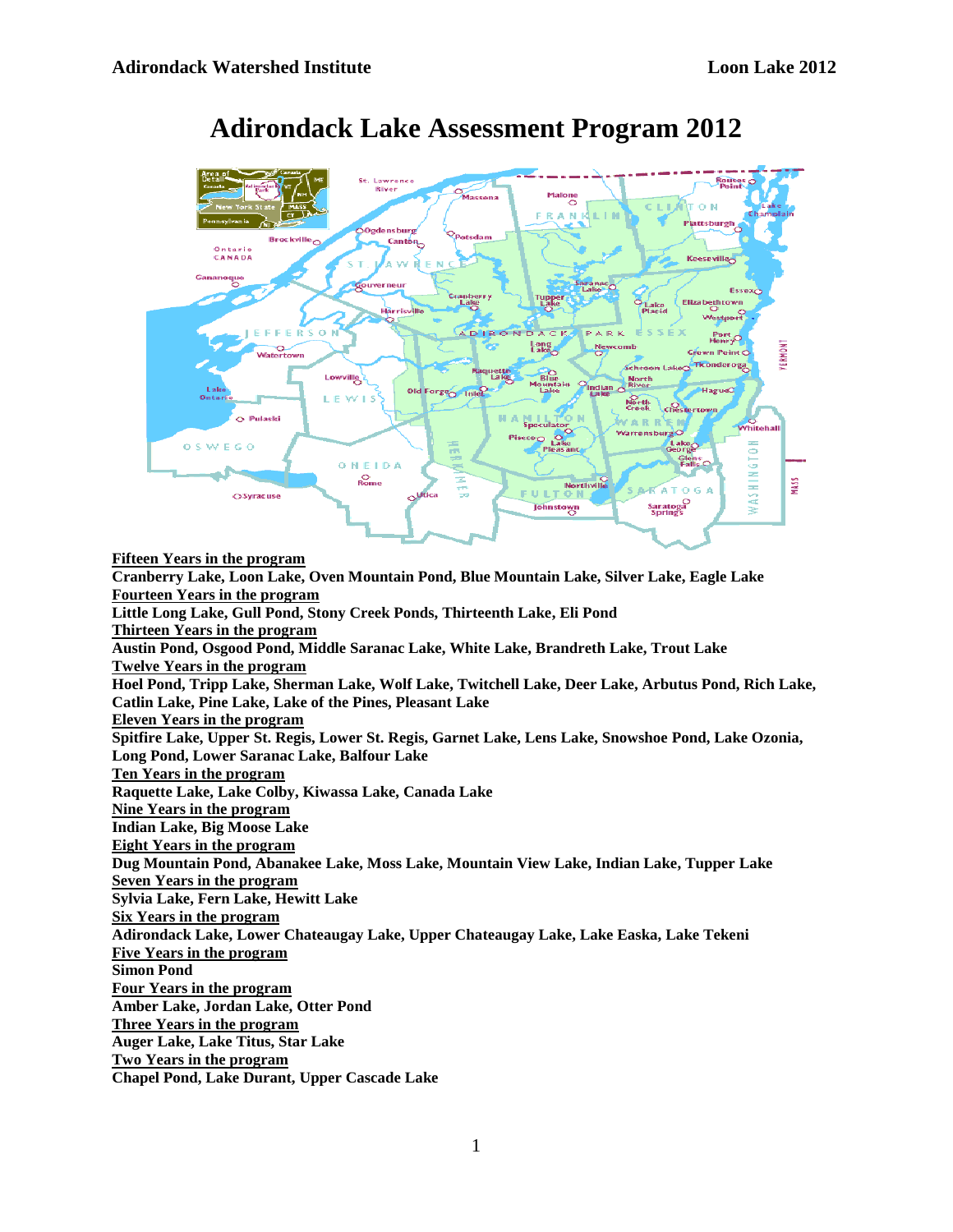

# **Adirondack Lake Assessment Program 2012**

**Fifteen Years in the program Cranberry Lake, Loon Lake, Oven Mountain Pond, Blue Mountain Lake, Silver Lake, Eagle Lake Fourteen Years in the program Little Long Lake, Gull Pond, Stony Creek Ponds, Thirteenth Lake, Eli Pond Thirteen Years in the program Austin Pond, Osgood Pond, Middle Saranac Lake, White Lake, Brandreth Lake, Trout Lake Twelve Years in the program Hoel Pond, Tripp Lake, Sherman Lake, Wolf Lake, Twitchell Lake, Deer Lake, Arbutus Pond, Rich Lake, Catlin Lake, Pine Lake, Lake of the Pines, Pleasant Lake Eleven Years in the program Spitfire Lake, Upper St. Regis, Lower St. Regis, Garnet Lake, Lens Lake, Snowshoe Pond, Lake Ozonia, Long Pond, Lower Saranac Lake, Balfour Lake Ten Years in the program Raquette Lake, Lake Colby, Kiwassa Lake, Canada Lake Nine Years in the program Indian Lake, Big Moose Lake Eight Years in the program Dug Mountain Pond, Abanakee Lake, Moss Lake, Mountain View Lake, Indian Lake, Tupper Lake Seven Years in the program Sylvia Lake, Fern Lake, Hewitt Lake Six Years in the program Adirondack Lake, Lower Chateaugay Lake, Upper Chateaugay Lake, Lake Easka, Lake Tekeni Five Years in the program Simon Pond Four Years in the program Amber Lake, Jordan Lake, Otter Pond Three Years in the program Auger Lake, Lake Titus, Star Lake Two Years in the program Chapel Pond, Lake Durant, Upper Cascade Lake**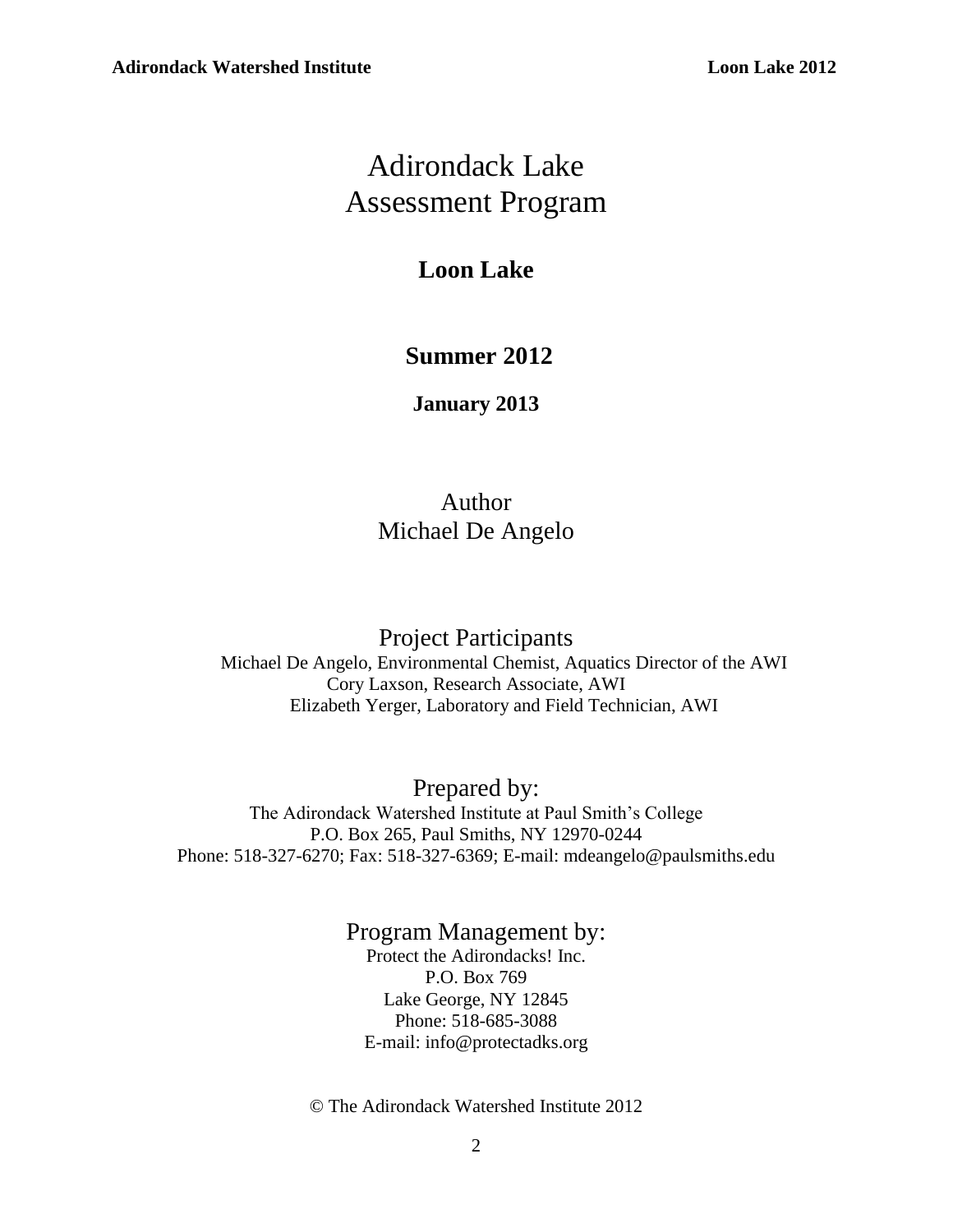# Adirondack Lake Assessment Program

# **Loon Lake**

# **Summer 2012**

**January 2013**

# Author Michael De Angelo

## Project Participants

Michael De Angelo, Environmental Chemist, Aquatics Director of the AWI Cory Laxson, Research Associate, AWI Elizabeth Yerger, Laboratory and Field Technician, AWI

Prepared by: The Adirondack Watershed Institute at Paul Smith's College P.O. Box 265, Paul Smiths, NY 12970-0244 Phone: 518-327-6270; Fax: 518-327-6369; E-mail: mdeangelo@paulsmiths.edu

## Program Management by: Protect the Adirondacks! Inc. P.O. Box 769 Lake George, NY 12845 Phone: 518-685-3088 E-mail: info@protectadks.org

© The Adirondack Watershed Institute 2012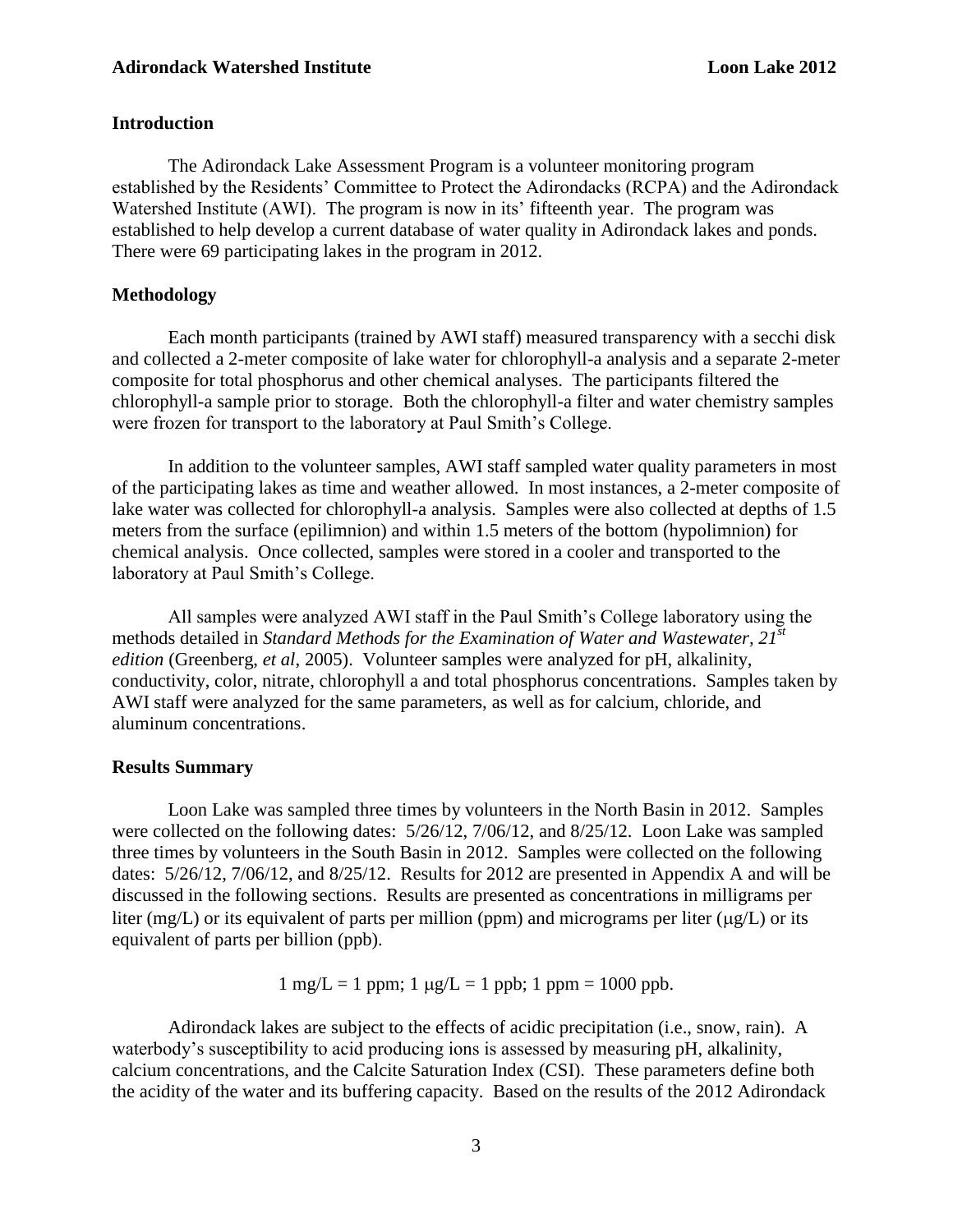#### **Introduction**

The Adirondack Lake Assessment Program is a volunteer monitoring program established by the Residents' Committee to Protect the Adirondacks (RCPA) and the Adirondack Watershed Institute (AWI). The program is now in its' fifteenth year. The program was established to help develop a current database of water quality in Adirondack lakes and ponds. There were 69 participating lakes in the program in 2012.

#### **Methodology**

Each month participants (trained by AWI staff) measured transparency with a secchi disk and collected a 2-meter composite of lake water for chlorophyll-a analysis and a separate 2-meter composite for total phosphorus and other chemical analyses. The participants filtered the chlorophyll-a sample prior to storage. Both the chlorophyll-a filter and water chemistry samples were frozen for transport to the laboratory at Paul Smith's College.

In addition to the volunteer samples, AWI staff sampled water quality parameters in most of the participating lakes as time and weather allowed. In most instances, a 2-meter composite of lake water was collected for chlorophyll-a analysis. Samples were also collected at depths of 1.5 meters from the surface (epilimnion) and within 1.5 meters of the bottom (hypolimnion) for chemical analysis. Once collected, samples were stored in a cooler and transported to the laboratory at Paul Smith's College.

All samples were analyzed AWI staff in the Paul Smith's College laboratory using the methods detailed in *Standard Methods for the Examination of Water and Wastewater, 21 st edition* (Greenberg, *et al*, 2005). Volunteer samples were analyzed for pH, alkalinity, conductivity, color, nitrate, chlorophyll a and total phosphorus concentrations. Samples taken by AWI staff were analyzed for the same parameters, as well as for calcium, chloride, and aluminum concentrations.

#### **Results Summary**

Loon Lake was sampled three times by volunteers in the North Basin in 2012. Samples were collected on the following dates: 5/26/12, 7/06/12, and 8/25/12. Loon Lake was sampled three times by volunteers in the South Basin in 2012. Samples were collected on the following dates: 5/26/12, 7/06/12, and 8/25/12. Results for 2012 are presented in Appendix A and will be discussed in the following sections. Results are presented as concentrations in milligrams per liter (mg/L) or its equivalent of parts per million (ppm) and micrograms per liter ( $\mu$ g/L) or its equivalent of parts per billion (ppb).

 $1 \text{ mg/L} = 1 \text{ ppm}; 1 \text{ µg/L} = 1 \text{ ppb}; 1 \text{ ppm} = 1000 \text{ ppb}.$ 

Adirondack lakes are subject to the effects of acidic precipitation (i.e., snow, rain). A waterbody's susceptibility to acid producing ions is assessed by measuring pH, alkalinity, calcium concentrations, and the Calcite Saturation Index (CSI). These parameters define both the acidity of the water and its buffering capacity. Based on the results of the 2012 Adirondack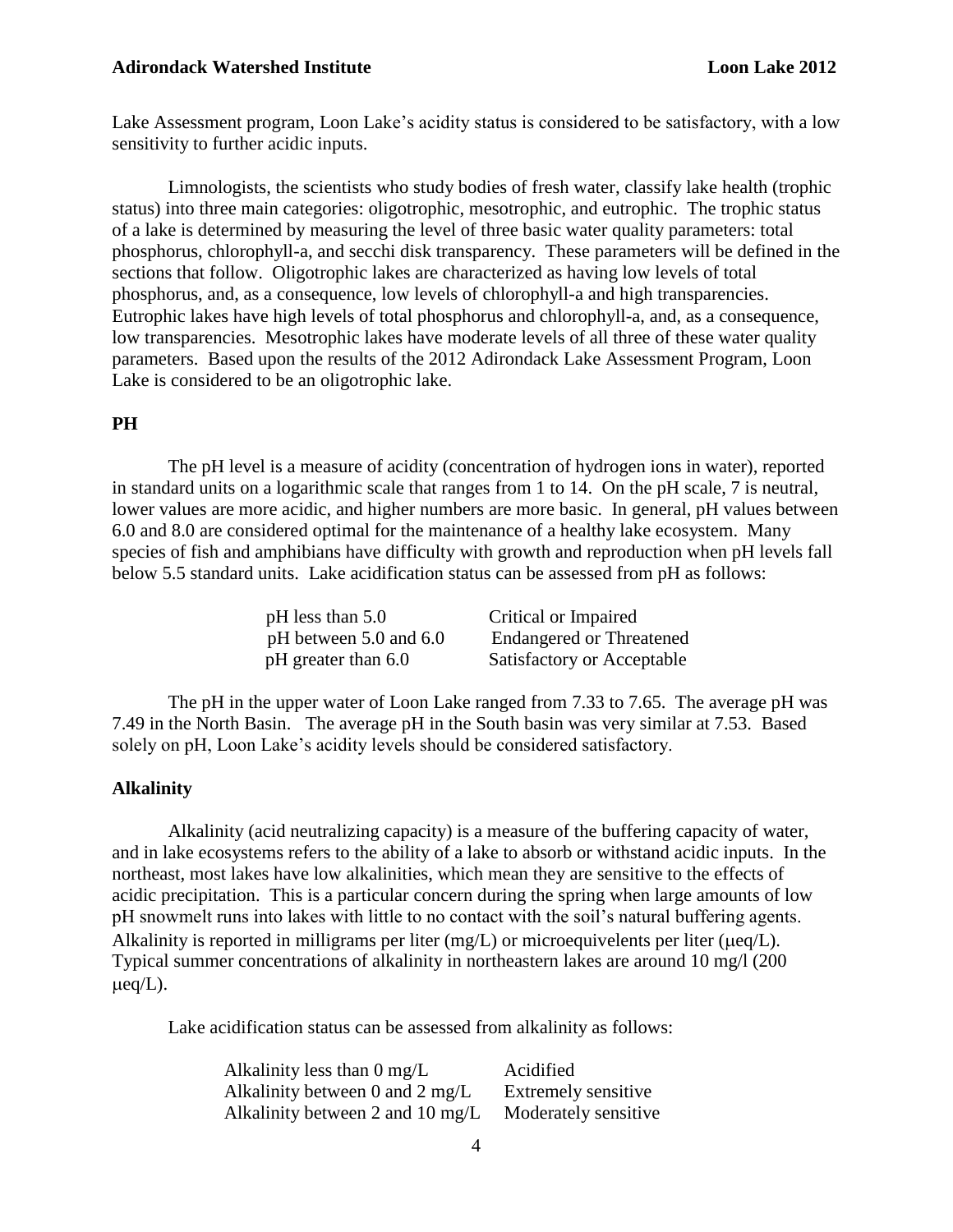Lake Assessment program, Loon Lake's acidity status is considered to be satisfactory, with a low sensitivity to further acidic inputs.

Limnologists, the scientists who study bodies of fresh water, classify lake health (trophic status) into three main categories: oligotrophic, mesotrophic, and eutrophic. The trophic status of a lake is determined by measuring the level of three basic water quality parameters: total phosphorus, chlorophyll-a, and secchi disk transparency. These parameters will be defined in the sections that follow. Oligotrophic lakes are characterized as having low levels of total phosphorus, and, as a consequence, low levels of chlorophyll-a and high transparencies. Eutrophic lakes have high levels of total phosphorus and chlorophyll-a, and, as a consequence, low transparencies. Mesotrophic lakes have moderate levels of all three of these water quality parameters. Based upon the results of the 2012 Adirondack Lake Assessment Program, Loon Lake is considered to be an oligotrophic lake.

#### **PH**

The pH level is a measure of acidity (concentration of hydrogen ions in water), reported in standard units on a logarithmic scale that ranges from 1 to 14. On the pH scale, 7 is neutral, lower values are more acidic, and higher numbers are more basic. In general, pH values between 6.0 and 8.0 are considered optimal for the maintenance of a healthy lake ecosystem. Many species of fish and amphibians have difficulty with growth and reproduction when pH levels fall below 5.5 standard units. Lake acidification status can be assessed from pH as follows:

| $pH$ less than 5.0         | Critical or Impaired            |
|----------------------------|---------------------------------|
| pH between $5.0$ and $6.0$ | <b>Endangered or Threatened</b> |
| pH greater than 6.0        | Satisfactory or Acceptable      |

The pH in the upper water of Loon Lake ranged from 7.33 to 7.65. The average pH was 7.49 in the North Basin. The average pH in the South basin was very similar at 7.53. Based solely on pH, Loon Lake's acidity levels should be considered satisfactory.

#### **Alkalinity**

Alkalinity (acid neutralizing capacity) is a measure of the buffering capacity of water, and in lake ecosystems refers to the ability of a lake to absorb or withstand acidic inputs. In the northeast, most lakes have low alkalinities, which mean they are sensitive to the effects of acidic precipitation. This is a particular concern during the spring when large amounts of low pH snowmelt runs into lakes with little to no contact with the soil's natural buffering agents. Alkalinity is reported in milligrams per liter  $(mg/L)$  or microequivelents per liter ( $\mu$ eq/L). Typical summer concentrations of alkalinity in northeastern lakes are around 10 mg/l (200  $\mu$ eq/L).

Lake acidification status can be assessed from alkalinity as follows:

| Alkalinity less than $0 \text{ mg/L}$ | Acidified                  |
|---------------------------------------|----------------------------|
| Alkalinity between 0 and 2 mg/L       | <b>Extremely sensitive</b> |
| Alkalinity between 2 and 10 mg/L      | Moderately sensitive       |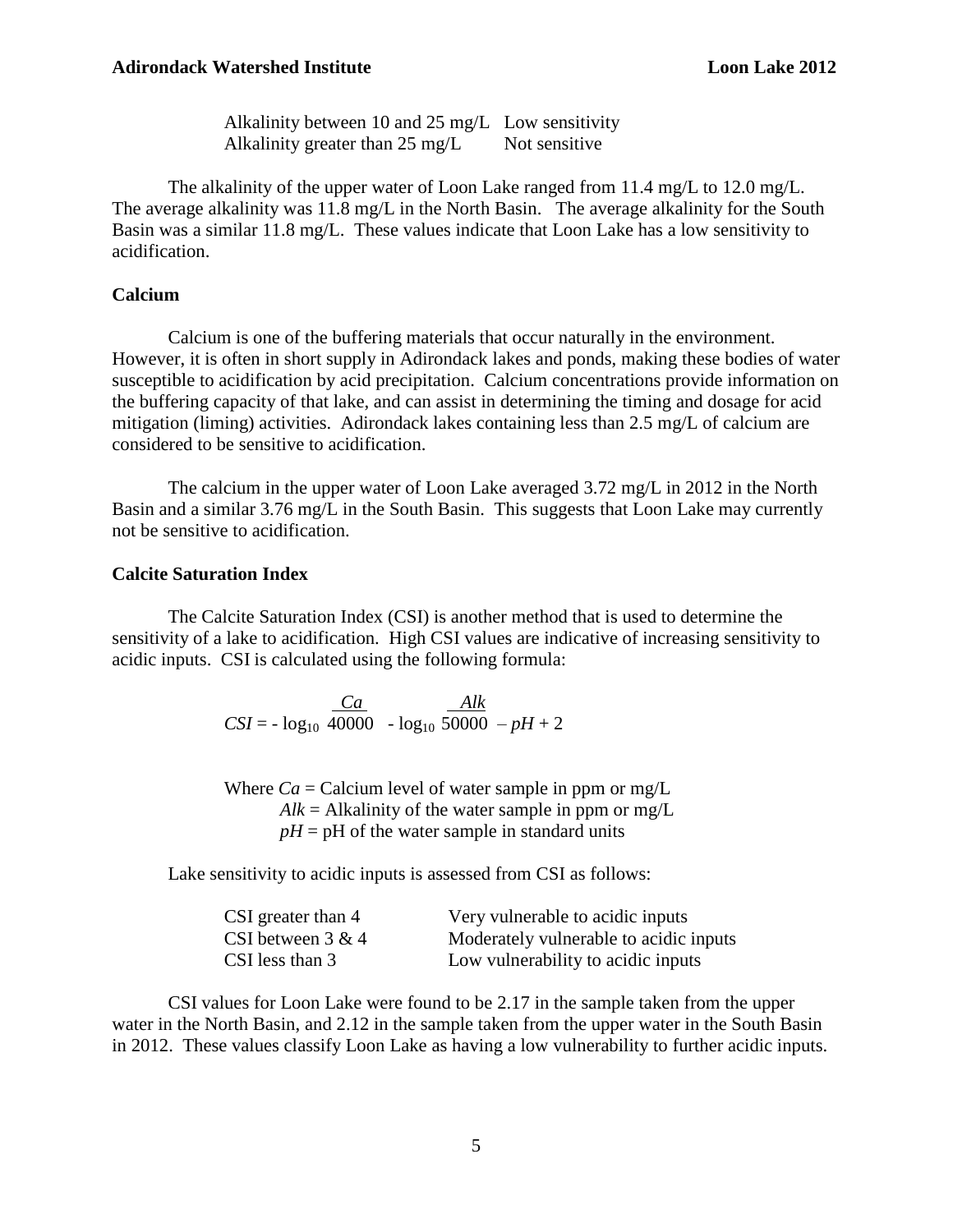Alkalinity between 10 and 25 mg/L Low sensitivity Alkalinity greater than  $25 \text{ mg/L}$  Not sensitive

The alkalinity of the upper water of Loon Lake ranged from 11.4 mg/L to 12.0 mg/L. The average alkalinity was 11.8 mg/L in the North Basin. The average alkalinity for the South Basin was a similar 11.8 mg/L. These values indicate that Loon Lake has a low sensitivity to acidification.

#### **Calcium**

Calcium is one of the buffering materials that occur naturally in the environment. However, it is often in short supply in Adirondack lakes and ponds, making these bodies of water susceptible to acidification by acid precipitation. Calcium concentrations provide information on the buffering capacity of that lake, and can assist in determining the timing and dosage for acid mitigation (liming) activities. Adirondack lakes containing less than 2.5 mg/L of calcium are considered to be sensitive to acidification.

The calcium in the upper water of Loon Lake averaged 3.72 mg/L in 2012 in the North Basin and a similar 3.76 mg/L in the South Basin. This suggests that Loon Lake may currently not be sensitive to acidification.

#### **Calcite Saturation Index**

The Calcite Saturation Index (CSI) is another method that is used to determine the sensitivity of a lake to acidification. High CSI values are indicative of increasing sensitivity to acidic inputs. CSI is calculated using the following formula:

> *Ca Alk*   $CSI = - log<sub>10</sub> 40000 - log<sub>10</sub> 50000 - pH + 2$

Where  $Ca = Ca$  calcium level of water sample in ppm or mg/L  $Alk = Alkalinity$  of the water sample in ppm or mg/L  $pH = pH$  of the water sample in standard units

Lake sensitivity to acidic inputs is assessed from CSI as follows:

| CSI greater than 4   | Very vulnerable to acidic inputs       |
|----------------------|----------------------------------------|
| CSI between $3 \& 4$ | Moderately vulnerable to acidic inputs |
| CSI less than 3      | Low vulnerability to acidic inputs     |

 CSI values for Loon Lake were found to be 2.17 in the sample taken from the upper water in the North Basin, and 2.12 in the sample taken from the upper water in the South Basin in 2012. These values classify Loon Lake as having a low vulnerability to further acidic inputs.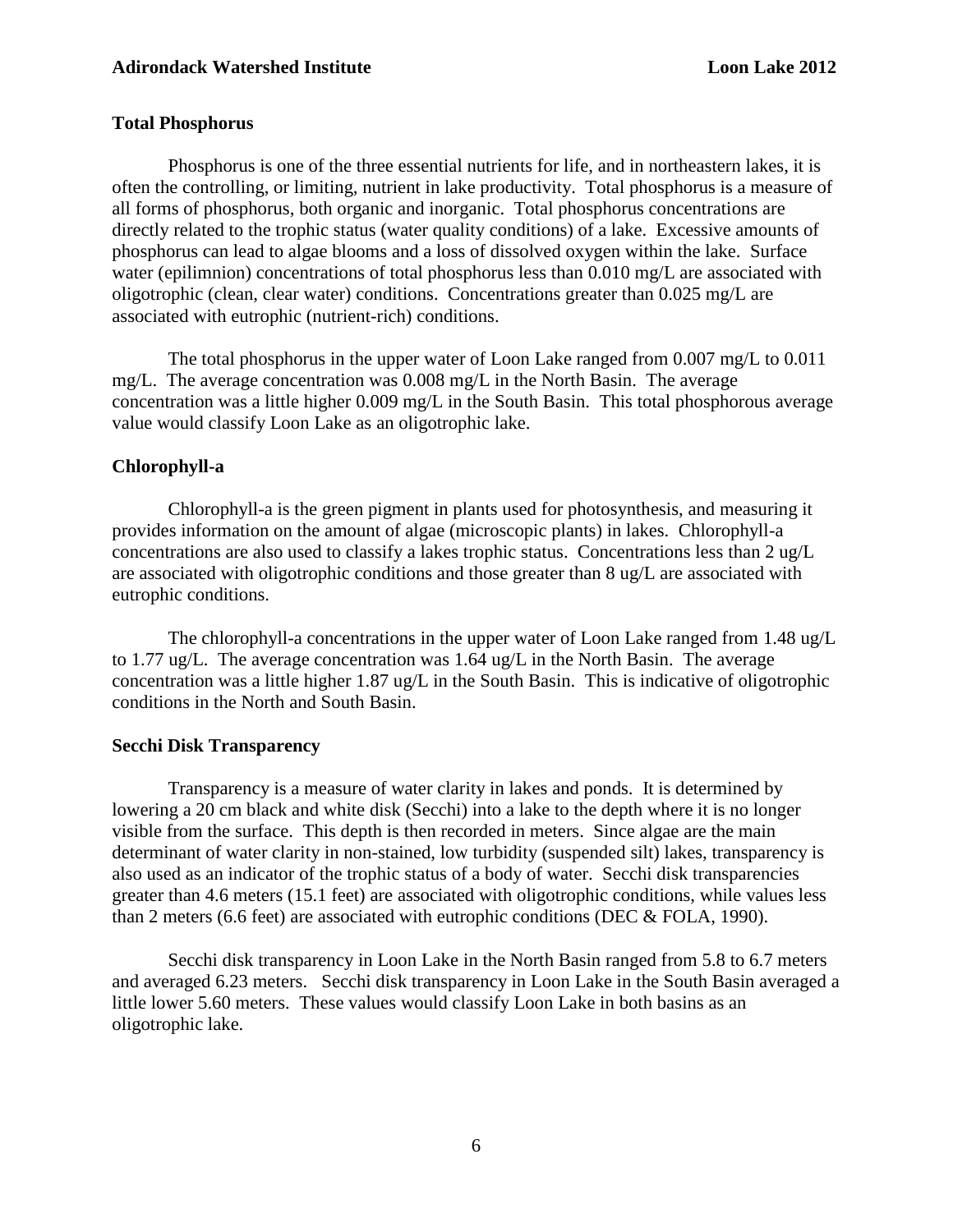#### **Total Phosphorus**

Phosphorus is one of the three essential nutrients for life, and in northeastern lakes, it is often the controlling, or limiting, nutrient in lake productivity. Total phosphorus is a measure of all forms of phosphorus, both organic and inorganic. Total phosphorus concentrations are directly related to the trophic status (water quality conditions) of a lake. Excessive amounts of phosphorus can lead to algae blooms and a loss of dissolved oxygen within the lake. Surface water (epilimnion) concentrations of total phosphorus less than 0.010 mg/L are associated with oligotrophic (clean, clear water) conditions. Concentrations greater than 0.025 mg/L are associated with eutrophic (nutrient-rich) conditions.

The total phosphorus in the upper water of Loon Lake ranged from 0.007 mg/L to 0.011 mg/L. The average concentration was 0.008 mg/L in the North Basin. The average concentration was a little higher 0.009 mg/L in the South Basin. This total phosphorous average value would classify Loon Lake as an oligotrophic lake.

#### **Chlorophyll-a**

Chlorophyll-a is the green pigment in plants used for photosynthesis, and measuring it provides information on the amount of algae (microscopic plants) in lakes. Chlorophyll-a concentrations are also used to classify a lakes trophic status. Concentrations less than 2 ug/L are associated with oligotrophic conditions and those greater than 8 ug/L are associated with eutrophic conditions.

The chlorophyll-a concentrations in the upper water of Loon Lake ranged from 1.48 ug/L to 1.77 ug/L. The average concentration was 1.64 ug/L in the North Basin. The average concentration was a little higher 1.87 ug/L in the South Basin. This is indicative of oligotrophic conditions in the North and South Basin.

#### **Secchi Disk Transparency**

Transparency is a measure of water clarity in lakes and ponds. It is determined by lowering a 20 cm black and white disk (Secchi) into a lake to the depth where it is no longer visible from the surface. This depth is then recorded in meters. Since algae are the main determinant of water clarity in non-stained, low turbidity (suspended silt) lakes, transparency is also used as an indicator of the trophic status of a body of water. Secchi disk transparencies greater than 4.6 meters (15.1 feet) are associated with oligotrophic conditions, while values less than 2 meters (6.6 feet) are associated with eutrophic conditions (DEC & FOLA, 1990).

Secchi disk transparency in Loon Lake in the North Basin ranged from 5.8 to 6.7 meters and averaged 6.23 meters. Secchi disk transparency in Loon Lake in the South Basin averaged a little lower 5.60 meters. These values would classify Loon Lake in both basins as an oligotrophic lake.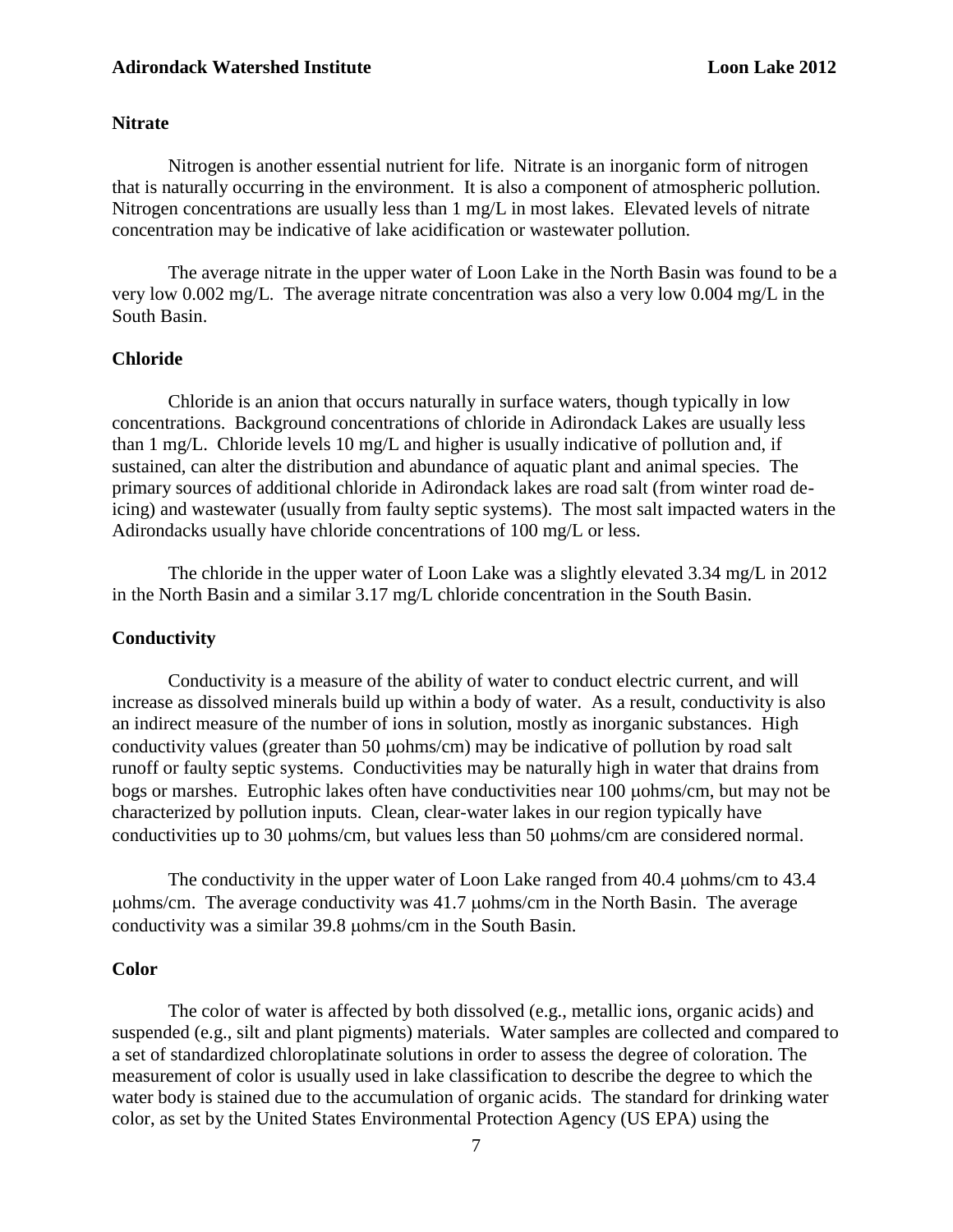#### **Nitrate**

Nitrogen is another essential nutrient for life. Nitrate is an inorganic form of nitrogen that is naturally occurring in the environment. It is also a component of atmospheric pollution. Nitrogen concentrations are usually less than 1 mg/L in most lakes. Elevated levels of nitrate concentration may be indicative of lake acidification or wastewater pollution.

The average nitrate in the upper water of Loon Lake in the North Basin was found to be a very low 0.002 mg/L. The average nitrate concentration was also a very low 0.004 mg/L in the South Basin.

#### **Chloride**

Chloride is an anion that occurs naturally in surface waters, though typically in low concentrations. Background concentrations of chloride in Adirondack Lakes are usually less than 1 mg/L. Chloride levels 10 mg/L and higher is usually indicative of pollution and, if sustained, can alter the distribution and abundance of aquatic plant and animal species. The primary sources of additional chloride in Adirondack lakes are road salt (from winter road deicing) and wastewater (usually from faulty septic systems). The most salt impacted waters in the Adirondacks usually have chloride concentrations of 100 mg/L or less.

The chloride in the upper water of Loon Lake was a slightly elevated 3.34 mg/L in 2012 in the North Basin and a similar 3.17 mg/L chloride concentration in the South Basin.

#### **Conductivity**

Conductivity is a measure of the ability of water to conduct electric current, and will increase as dissolved minerals build up within a body of water. As a result, conductivity is also an indirect measure of the number of ions in solution, mostly as inorganic substances. High conductivity values (greater than 50  $\mu$ ohms/cm) may be indicative of pollution by road salt runoff or faulty septic systems. Conductivities may be naturally high in water that drains from bogs or marshes. Eutrophic lakes often have conductivities near 100  $\mu$ ohms/cm, but may not be characterized by pollution inputs. Clean, clear-water lakes in our region typically have conductivities up to 30 µohms/cm, but values less than 50 µohms/cm are considered normal.

The conductivity in the upper water of Loon Lake ranged from  $40.4 \mu \text{ohms/cm}$  to  $43.4 \mu \text{O}$  $\mu$ ohms/cm. The average conductivity was 41.7  $\mu$ ohms/cm in the North Basin. The average conductivity was a similar 39.8 µohms/cm in the South Basin.

#### **Color**

The color of water is affected by both dissolved (e.g., metallic ions, organic acids) and suspended (e.g., silt and plant pigments) materials. Water samples are collected and compared to a set of standardized chloroplatinate solutions in order to assess the degree of coloration. The measurement of color is usually used in lake classification to describe the degree to which the water body is stained due to the accumulation of organic acids. The standard for drinking water color, as set by the United States Environmental Protection Agency (US EPA) using the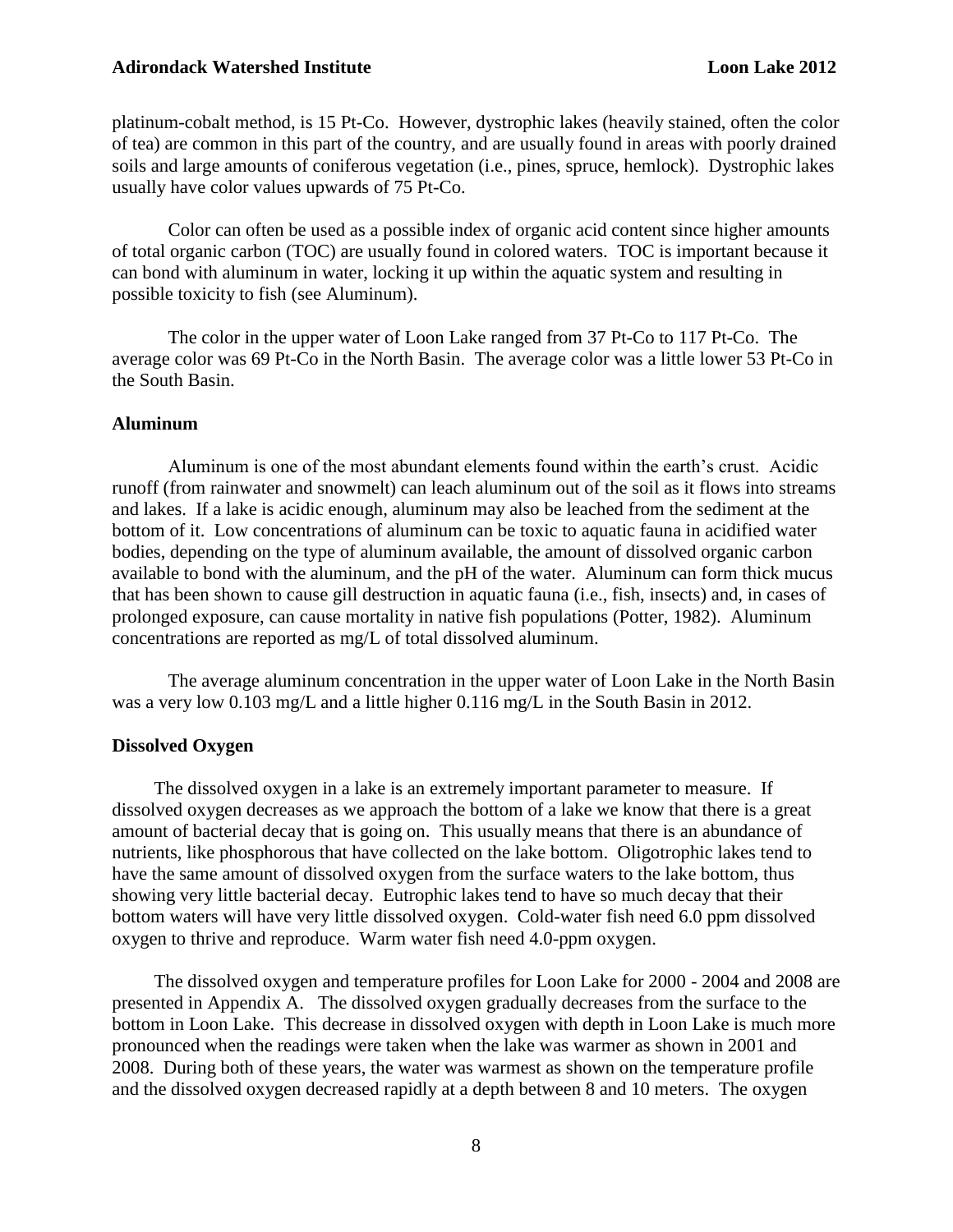platinum-cobalt method, is 15 Pt-Co. However, dystrophic lakes (heavily stained, often the color of tea) are common in this part of the country, and are usually found in areas with poorly drained soils and large amounts of coniferous vegetation (i.e., pines, spruce, hemlock). Dystrophic lakes usually have color values upwards of 75 Pt-Co.

Color can often be used as a possible index of organic acid content since higher amounts of total organic carbon (TOC) are usually found in colored waters. TOC is important because it can bond with aluminum in water, locking it up within the aquatic system and resulting in possible toxicity to fish (see Aluminum).

The color in the upper water of Loon Lake ranged from 37 Pt-Co to 117 Pt-Co. The average color was 69 Pt-Co in the North Basin. The average color was a little lower 53 Pt-Co in the South Basin.

#### **Aluminum**

Aluminum is one of the most abundant elements found within the earth's crust. Acidic runoff (from rainwater and snowmelt) can leach aluminum out of the soil as it flows into streams and lakes. If a lake is acidic enough, aluminum may also be leached from the sediment at the bottom of it. Low concentrations of aluminum can be toxic to aquatic fauna in acidified water bodies, depending on the type of aluminum available, the amount of dissolved organic carbon available to bond with the aluminum, and the pH of the water. Aluminum can form thick mucus that has been shown to cause gill destruction in aquatic fauna (i.e., fish, insects) and, in cases of prolonged exposure, can cause mortality in native fish populations (Potter, 1982). Aluminum concentrations are reported as mg/L of total dissolved aluminum.

The average aluminum concentration in the upper water of Loon Lake in the North Basin was a very low 0.103 mg/L and a little higher 0.116 mg/L in the South Basin in 2012.

#### **Dissolved Oxygen**

 The dissolved oxygen in a lake is an extremely important parameter to measure. If dissolved oxygen decreases as we approach the bottom of a lake we know that there is a great amount of bacterial decay that is going on. This usually means that there is an abundance of nutrients, like phosphorous that have collected on the lake bottom. Oligotrophic lakes tend to have the same amount of dissolved oxygen from the surface waters to the lake bottom, thus showing very little bacterial decay. Eutrophic lakes tend to have so much decay that their bottom waters will have very little dissolved oxygen. Cold-water fish need 6.0 ppm dissolved oxygen to thrive and reproduce. Warm water fish need 4.0-ppm oxygen.

 The dissolved oxygen and temperature profiles for Loon Lake for 2000 - 2004 and 2008 are presented in Appendix A. The dissolved oxygen gradually decreases from the surface to the bottom in Loon Lake. This decrease in dissolved oxygen with depth in Loon Lake is much more pronounced when the readings were taken when the lake was warmer as shown in 2001 and 2008. During both of these years, the water was warmest as shown on the temperature profile and the dissolved oxygen decreased rapidly at a depth between 8 and 10 meters. The oxygen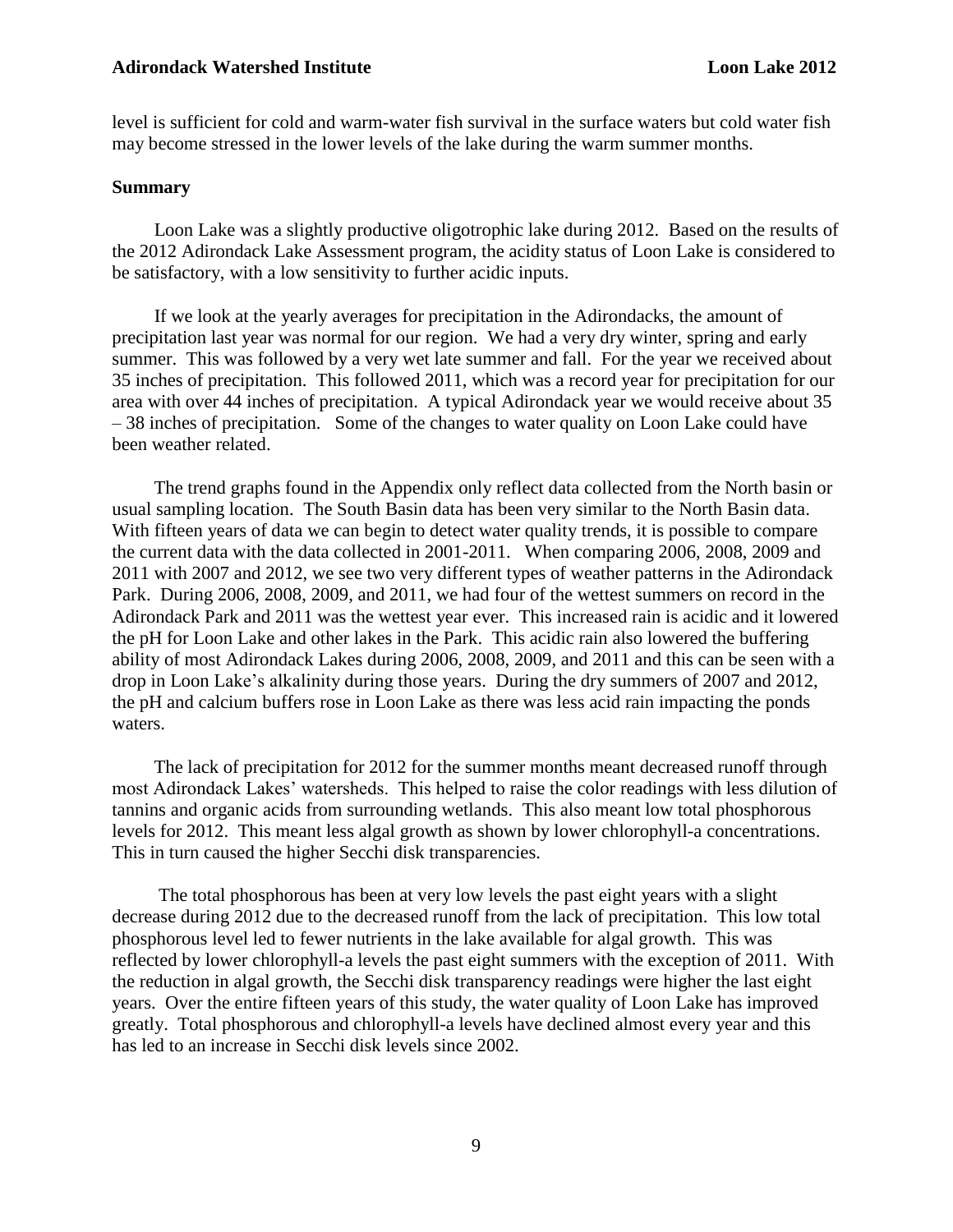level is sufficient for cold and warm-water fish survival in the surface waters but cold water fish may become stressed in the lower levels of the lake during the warm summer months.

#### **Summary**

 Loon Lake was a slightly productive oligotrophic lake during 2012. Based on the results of the 2012 Adirondack Lake Assessment program, the acidity status of Loon Lake is considered to be satisfactory, with a low sensitivity to further acidic inputs.

 If we look at the yearly averages for precipitation in the Adirondacks, the amount of precipitation last year was normal for our region. We had a very dry winter, spring and early summer. This was followed by a very wet late summer and fall. For the year we received about 35 inches of precipitation. This followed 2011, which was a record year for precipitation for our area with over 44 inches of precipitation. A typical Adirondack year we would receive about 35 – 38 inches of precipitation. Some of the changes to water quality on Loon Lake could have been weather related.

 The trend graphs found in the Appendix only reflect data collected from the North basin or usual sampling location. The South Basin data has been very similar to the North Basin data. With fifteen years of data we can begin to detect water quality trends, it is possible to compare the current data with the data collected in 2001-2011. When comparing 2006, 2008, 2009 and 2011 with 2007 and 2012, we see two very different types of weather patterns in the Adirondack Park. During 2006, 2008, 2009, and 2011, we had four of the wettest summers on record in the Adirondack Park and 2011 was the wettest year ever. This increased rain is acidic and it lowered the pH for Loon Lake and other lakes in the Park. This acidic rain also lowered the buffering ability of most Adirondack Lakes during 2006, 2008, 2009, and 2011 and this can be seen with a drop in Loon Lake's alkalinity during those years. During the dry summers of 2007 and 2012, the pH and calcium buffers rose in Loon Lake as there was less acid rain impacting the ponds waters.

 The lack of precipitation for 2012 for the summer months meant decreased runoff through most Adirondack Lakes' watersheds. This helped to raise the color readings with less dilution of tannins and organic acids from surrounding wetlands. This also meant low total phosphorous levels for 2012. This meant less algal growth as shown by lower chlorophyll-a concentrations. This in turn caused the higher Secchi disk transparencies.

 The total phosphorous has been at very low levels the past eight years with a slight decrease during 2012 due to the decreased runoff from the lack of precipitation. This low total phosphorous level led to fewer nutrients in the lake available for algal growth. This was reflected by lower chlorophyll-a levels the past eight summers with the exception of 2011. With the reduction in algal growth, the Secchi disk transparency readings were higher the last eight years. Over the entire fifteen years of this study, the water quality of Loon Lake has improved greatly. Total phosphorous and chlorophyll-a levels have declined almost every year and this has led to an increase in Secchi disk levels since 2002.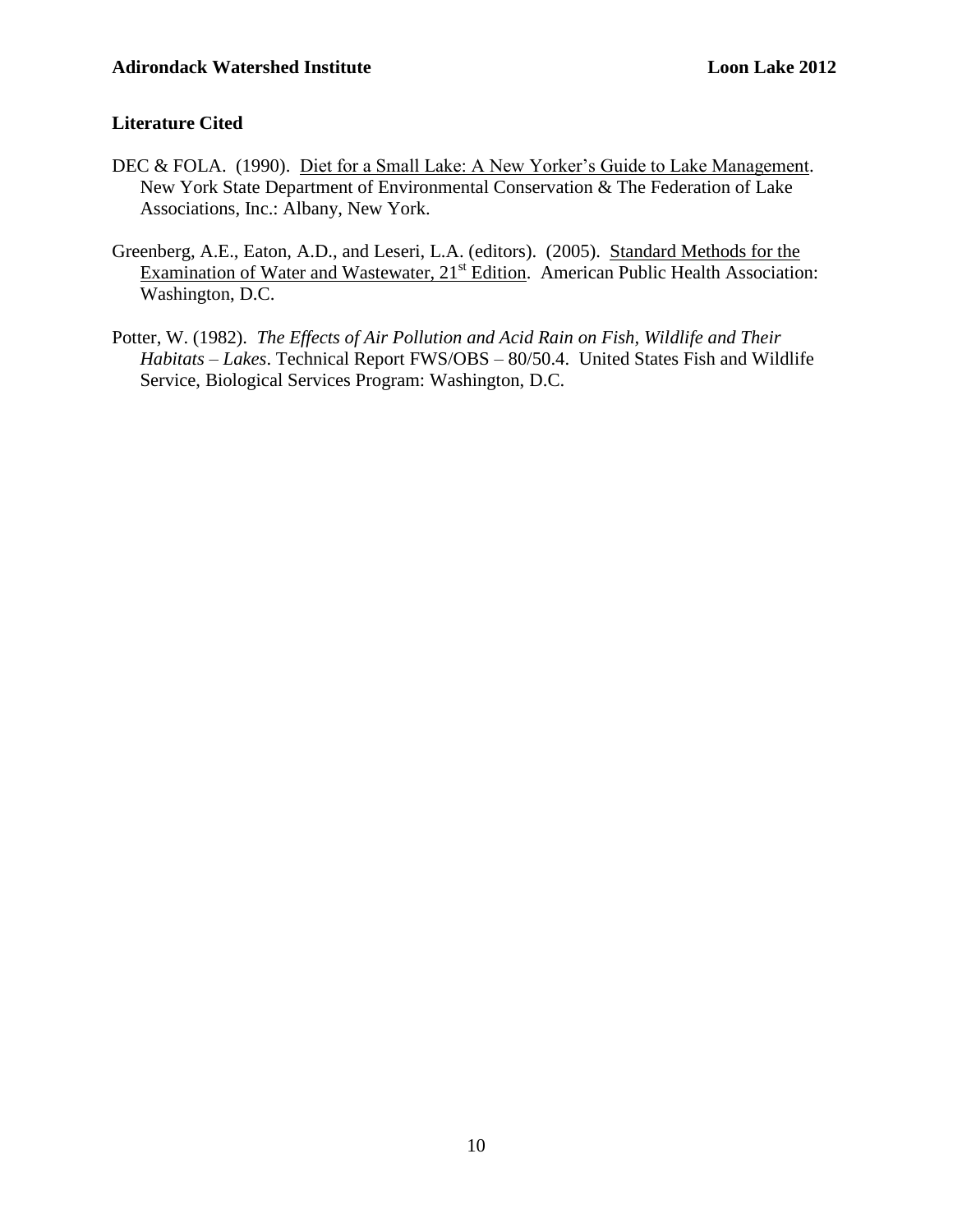## **Literature Cited**

- DEC & FOLA. (1990). Diet for a Small Lake: A New Yorker's Guide to Lake Management. New York State Department of Environmental Conservation & The Federation of Lake Associations, Inc.: Albany, New York.
- Greenberg, A.E., Eaton, A.D., and Leseri, L.A. (editors). (2005). Standard Methods for the Examination of Water and Wastewater, 21<sup>st</sup> Edition. American Public Health Association: Washington, D.C.
- Potter, W. (1982). *The Effects of Air Pollution and Acid Rain on Fish, Wildlife and Their Habitats – Lakes*. Technical Report FWS/OBS – 80/50.4. United States Fish and Wildlife Service, Biological Services Program: Washington, D.C.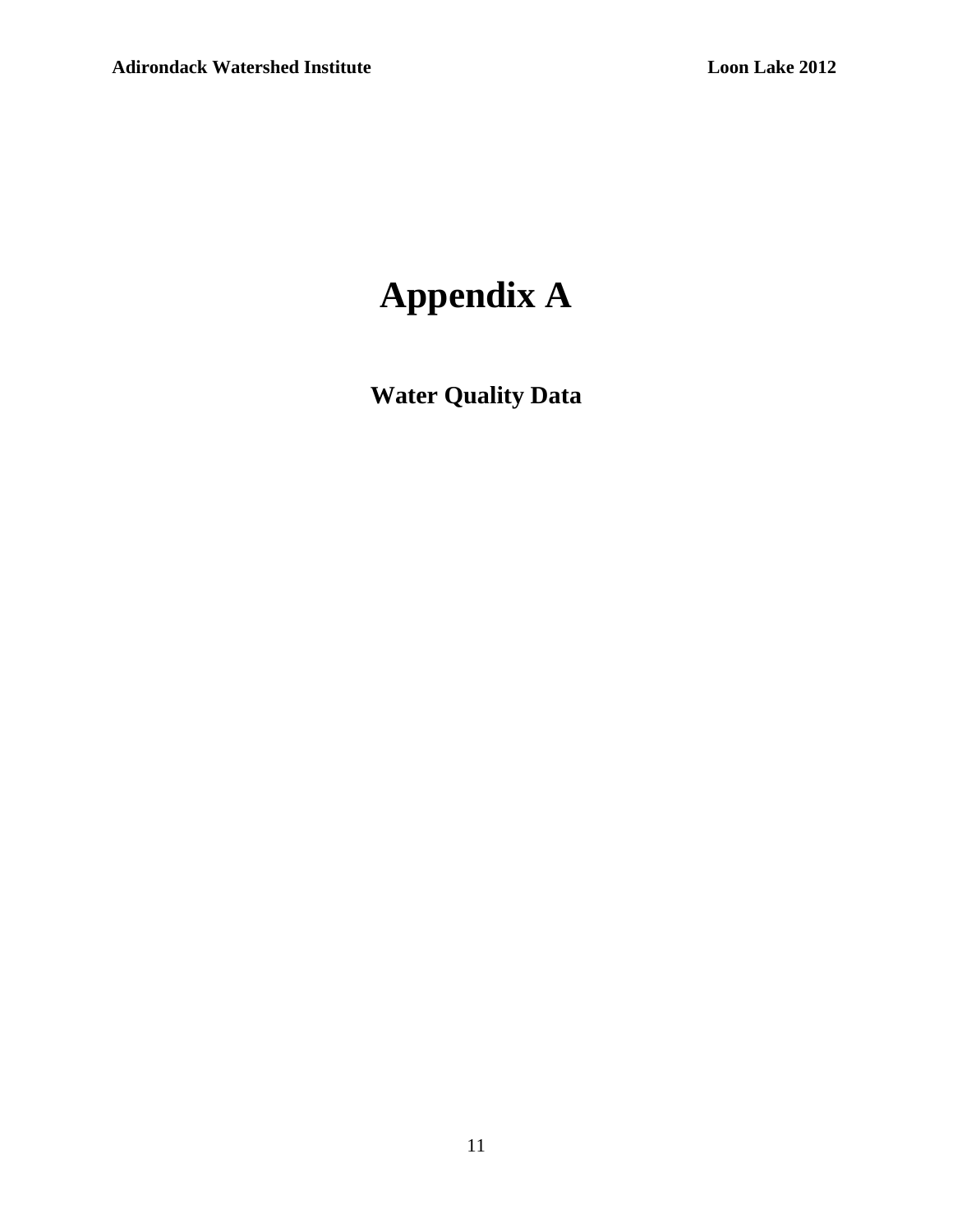# **Appendix A**

**Water Quality Data**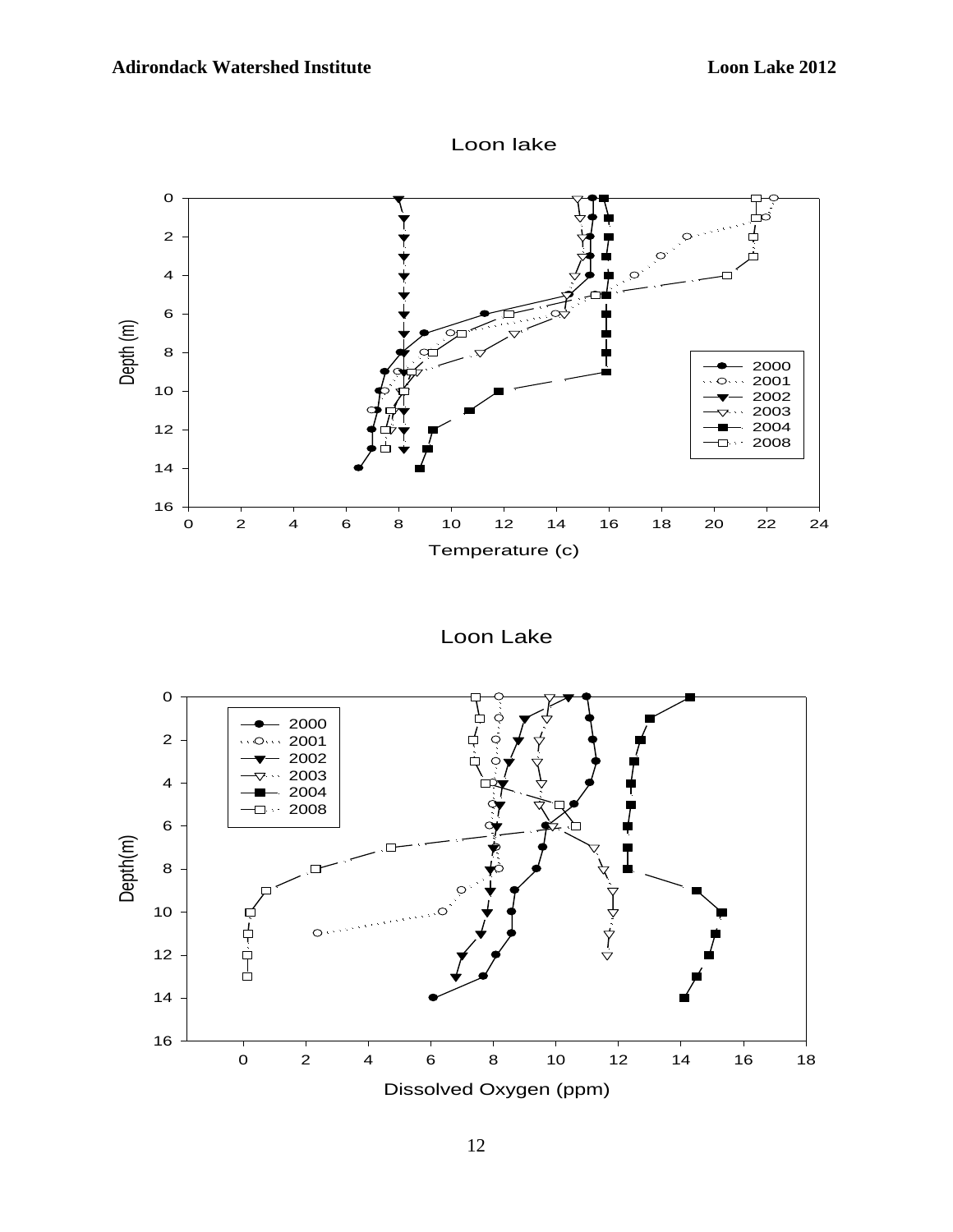



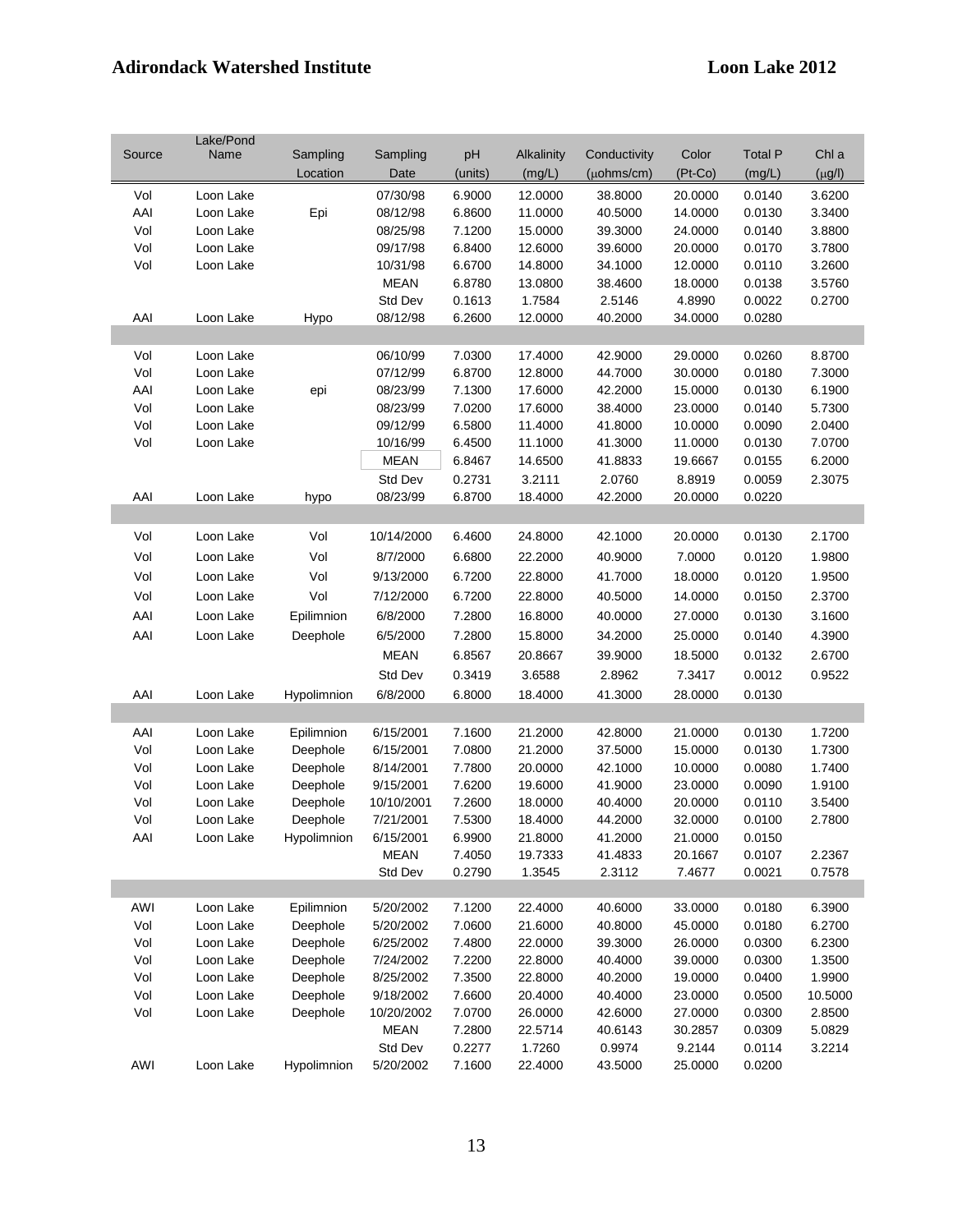|        | Lake/Pond |             |             |         |            |                    |           |                |             |
|--------|-----------|-------------|-------------|---------|------------|--------------------|-----------|----------------|-------------|
| Source | Name      | Sampling    | Sampling    | pH      | Alkalinity | Conductivity       | Color     | <b>Total P</b> | Chl a       |
|        |           | Location    | Date        | (units) | (mg/L)     | $(\mu$ ohms/cm $)$ | $(Pt-Co)$ | (mg/L)         | $(\mu g/I)$ |
| Vol    | Loon Lake |             | 07/30/98    | 6.9000  | 12.0000    | 38.8000            | 20.0000   | 0.0140         | 3.6200      |
| AAI    | Loon Lake | Epi         | 08/12/98    | 6.8600  | 11.0000    | 40.5000            | 14.0000   | 0.0130         | 3.3400      |
| Vol    | Loon Lake |             | 08/25/98    | 7.1200  | 15.0000    | 39.3000            | 24.0000   | 0.0140         | 3.8800      |
| Vol    | Loon Lake |             | 09/17/98    | 6.8400  | 12.6000    | 39.6000            | 20.0000   | 0.0170         | 3.7800      |
| Vol    | Loon Lake |             | 10/31/98    | 6.6700  | 14.8000    | 34.1000            | 12.0000   | 0.0110         | 3.2600      |
|        |           |             | <b>MEAN</b> | 6.8780  | 13.0800    | 38.4600            | 18.0000   | 0.0138         | 3.5760      |
|        |           |             | Std Dev     | 0.1613  | 1.7584     | 2.5146             | 4.8990    | 0.0022         | 0.2700      |
| AAI    | Loon Lake | Hypo        | 08/12/98    | 6.2600  | 12.0000    | 40.2000            | 34.0000   | 0.0280         |             |
|        |           |             |             |         |            |                    |           |                |             |
| Vol    | Loon Lake |             | 06/10/99    | 7.0300  | 17.4000    | 42.9000            | 29.0000   | 0.0260         | 8.8700      |
| Vol    | Loon Lake |             | 07/12/99    | 6.8700  | 12.8000    | 44.7000            | 30.0000   | 0.0180         | 7.3000      |
| AAI    | Loon Lake | epi         | 08/23/99    | 7.1300  | 17.6000    | 42.2000            | 15.0000   | 0.0130         | 6.1900      |
| Vol    | Loon Lake |             | 08/23/99    | 7.0200  | 17.6000    | 38.4000            | 23.0000   | 0.0140         | 5.7300      |
| Vol    | Loon Lake |             | 09/12/99    | 6.5800  | 11.4000    | 41.8000            | 10.0000   | 0.0090         | 2.0400      |
| Vol    | Loon Lake |             | 10/16/99    | 6.4500  | 11.1000    | 41.3000            | 11.0000   | 0.0130         | 7.0700      |
|        |           |             | <b>MEAN</b> | 6.8467  | 14.6500    | 41.8833            | 19.6667   | 0.0155         | 6.2000      |
|        |           |             | Std Dev     | 0.2731  | 3.2111     | 2.0760             | 8.8919    | 0.0059         | 2.3075      |
| AAI    | Loon Lake | hypo        | 08/23/99    | 6.8700  | 18.4000    | 42.2000            | 20.0000   | 0.0220         |             |
|        |           |             |             |         |            |                    |           |                |             |
| Vol    | Loon Lake | Vol         | 10/14/2000  | 6.4600  | 24.8000    | 42.1000            | 20.0000   | 0.0130         | 2.1700      |
| Vol    | Loon Lake | Vol         | 8/7/2000    | 6.6800  | 22.2000    | 40.9000            | 7.0000    | 0.0120         | 1.9800      |
| Vol    | Loon Lake | Vol         | 9/13/2000   | 6.7200  | 22.8000    | 41.7000            | 18.0000   | 0.0120         | 1.9500      |
| Vol    | Loon Lake | Vol         | 7/12/2000   | 6.7200  | 22.8000    | 40.5000            | 14.0000   | 0.0150         | 2.3700      |
| AAI    | Loon Lake | Epilimnion  | 6/8/2000    | 7.2800  | 16.8000    | 40.0000            | 27.0000   | 0.0130         | 3.1600      |
| AAI    | Loon Lake | Deephole    | 6/5/2000    | 7.2800  | 15.8000    | 34.2000            | 25.0000   | 0.0140         | 4.3900      |
|        |           |             | <b>MEAN</b> | 6.8567  | 20.8667    | 39.9000            | 18.5000   | 0.0132         | 2.6700      |
|        |           |             | Std Dev     | 0.3419  | 3.6588     | 2.8962             | 7.3417    | 0.0012         | 0.9522      |
| AAI    | Loon Lake | Hypolimnion | 6/8/2000    | 6.8000  | 18.4000    | 41.3000            | 28.0000   | 0.0130         |             |
|        |           |             |             |         |            |                    |           |                |             |
| AAI    | Loon Lake | Epilimnion  | 6/15/2001   | 7.1600  | 21.2000    | 42.8000            | 21.0000   | 0.0130         | 1.7200      |
| Vol    | Loon Lake | Deephole    | 6/15/2001   | 7.0800  | 21.2000    | 37.5000            | 15.0000   | 0.0130         | 1.7300      |
| Vol    | Loon Lake | Deephole    | 8/14/2001   | 7.7800  | 20.0000    | 42.1000            | 10.0000   | 0.0080         | 1.7400      |
| Vol    | Loon Lake | Deephole    | 9/15/2001   | 7.6200  | 19.6000    | 41.9000            | 23.0000   | 0.0090         | 1.9100      |
| Vol    | Loon Lake | Deephole    | 10/10/2001  | 7.2600  | 18.0000    | 40.4000            | 20.0000   | 0.0110         | 3.5400      |
| Vol    | Loon Lake | Deephole    | 7/21/2001   | 7.5300  | 18.4000    | 44.2000            | 32.0000   | 0.0100         | 2.7800      |
| AAI    | Loon Lake | Hypolimnion | 6/15/2001   | 6.9900  | 21.8000    | 41.2000            | 21.0000   | 0.0150         |             |
|        |           |             | <b>MEAN</b> | 7.4050  | 19.7333    | 41.4833            | 20.1667   | 0.0107         | 2.2367      |
|        |           |             | Std Dev     | 0.2790  | 1.3545     | 2.3112             | 7.4677    | 0.0021         | 0.7578      |
|        |           |             |             |         |            |                    |           |                |             |
| AWI    | Loon Lake | Epilimnion  | 5/20/2002   | 7.1200  | 22.4000    | 40.6000            | 33.0000   | 0.0180         | 6.3900      |
| Vol    | Loon Lake | Deephole    | 5/20/2002   | 7.0600  | 21.6000    | 40.8000            | 45.0000   | 0.0180         | 6.2700      |
| Vol    | Loon Lake | Deephole    | 6/25/2002   | 7.4800  | 22.0000    | 39.3000            | 26.0000   | 0.0300         | 6.2300      |
| Vol    | Loon Lake | Deephole    | 7/24/2002   | 7.2200  | 22.8000    | 40.4000            | 39.0000   | 0.0300         | 1.3500      |
| Vol    | Loon Lake | Deephole    | 8/25/2002   | 7.3500  | 22.8000    | 40.2000            | 19.0000   | 0.0400         | 1.9900      |
| Vol    | Loon Lake | Deephole    | 9/18/2002   | 7.6600  | 20.4000    | 40.4000            | 23.0000   | 0.0500         | 10.5000     |
| Vol    | Loon Lake | Deephole    | 10/20/2002  | 7.0700  | 26.0000    | 42.6000            | 27.0000   | 0.0300         | 2.8500      |
|        |           |             | <b>MEAN</b> | 7.2800  | 22.5714    | 40.6143            | 30.2857   | 0.0309         | 5.0829      |
|        |           |             | Std Dev     | 0.2277  | 1.7260     | 0.9974             | 9.2144    | 0.0114         | 3.2214      |
| AWI    | Loon Lake | Hypolimnion | 5/20/2002   | 7.1600  | 22.4000    | 43.5000            | 25.0000   | 0.0200         |             |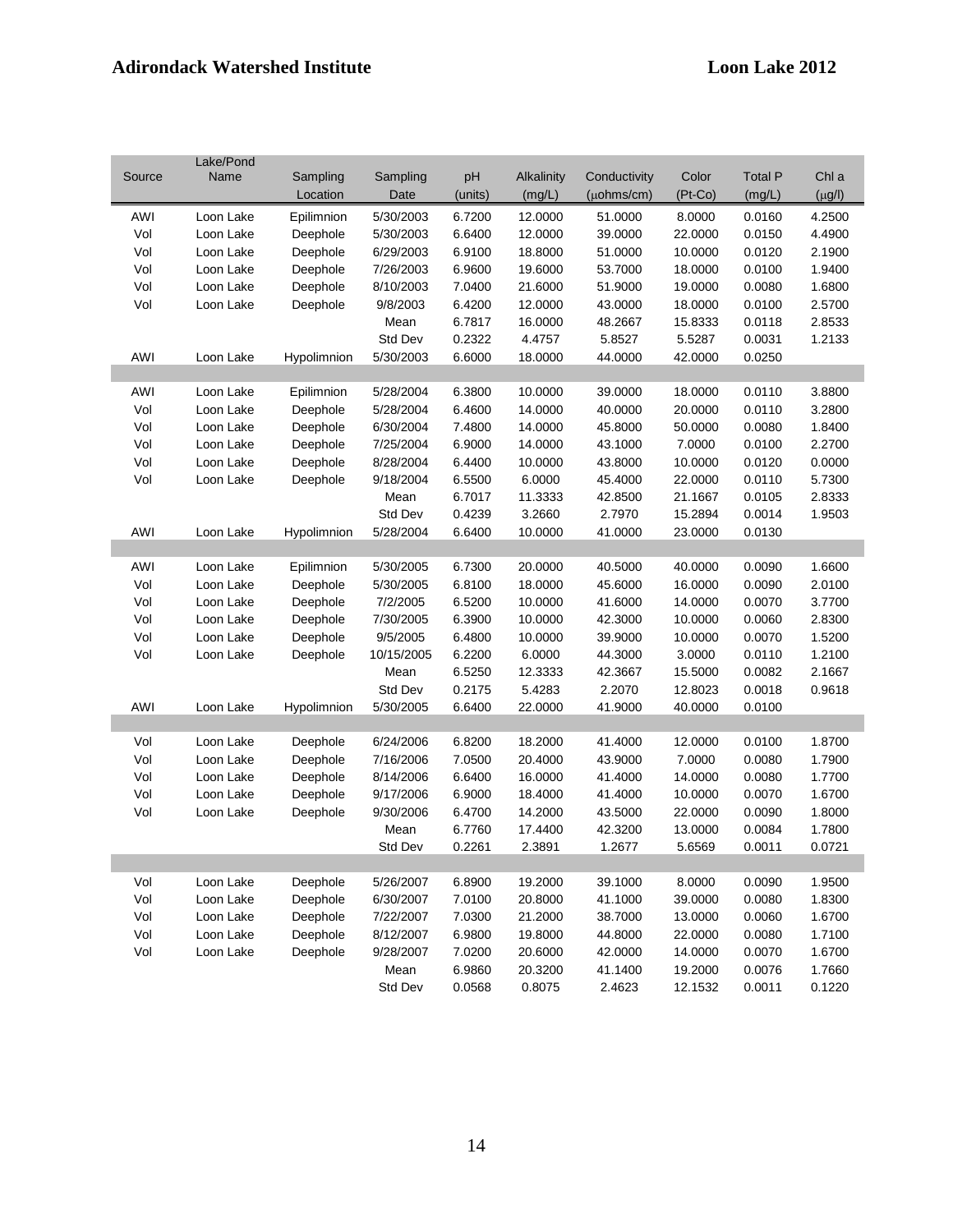|        | Lake/Pond |             |            |         |            |                    |         |                |             |
|--------|-----------|-------------|------------|---------|------------|--------------------|---------|----------------|-------------|
| Source | Name      | Sampling    | Sampling   | pH      | Alkalinity | Conductivity       | Color   | <b>Total P</b> | Chl a       |
|        |           | Location    | Date       | (units) | (mg/L)     | $(\mu$ ohms/cm $)$ | (Pt-Co) | (mg/L)         | $(\mu g/l)$ |
| AWI    | Loon Lake | Epilimnion  | 5/30/2003  | 6.7200  | 12.0000    | 51.0000            | 8.0000  | 0.0160         | 4.2500      |
| Vol    | Loon Lake | Deephole    | 5/30/2003  | 6.6400  | 12.0000    | 39.0000            | 22.0000 | 0.0150         | 4.4900      |
| Vol    | Loon Lake | Deephole    | 6/29/2003  | 6.9100  | 18.8000    | 51.0000            | 10.0000 | 0.0120         | 2.1900      |
| Vol    | Loon Lake | Deephole    | 7/26/2003  | 6.9600  | 19.6000    | 53.7000            | 18.0000 | 0.0100         | 1.9400      |
| Vol    | Loon Lake | Deephole    | 8/10/2003  | 7.0400  | 21.6000    | 51.9000            | 19.0000 | 0.0080         | 1.6800      |
| Vol    | Loon Lake | Deephole    | 9/8/2003   | 6.4200  | 12.0000    | 43.0000            | 18.0000 | 0.0100         | 2.5700      |
|        |           |             | Mean       | 6.7817  | 16.0000    | 48.2667            | 15.8333 | 0.0118         | 2.8533      |
|        |           |             | Std Dev    | 0.2322  | 4.4757     | 5.8527             | 5.5287  | 0.0031         | 1.2133      |
| AWI    | Loon Lake | Hypolimnion | 5/30/2003  | 6.6000  | 18.0000    | 44.0000            | 42.0000 | 0.0250         |             |
|        |           |             |            |         |            |                    |         |                |             |
| AWI    | Loon Lake | Epilimnion  | 5/28/2004  | 6.3800  | 10.0000    | 39.0000            | 18.0000 | 0.0110         | 3.8800      |
| Vol    | Loon Lake | Deephole    | 5/28/2004  | 6.4600  | 14.0000    | 40.0000            | 20.0000 | 0.0110         | 3.2800      |
| Vol    | Loon Lake | Deephole    | 6/30/2004  | 7.4800  | 14.0000    | 45.8000            | 50.0000 | 0.0080         | 1.8400      |
| Vol    | Loon Lake | Deephole    | 7/25/2004  | 6.9000  | 14.0000    | 43.1000            | 7.0000  | 0.0100         | 2.2700      |
| Vol    | Loon Lake | Deephole    | 8/28/2004  | 6.4400  | 10.0000    | 43.8000            | 10.0000 | 0.0120         | 0.0000      |
| Vol    | Loon Lake | Deephole    | 9/18/2004  | 6.5500  | 6.0000     | 45.4000            | 22.0000 | 0.0110         | 5.7300      |
|        |           |             | Mean       | 6.7017  | 11.3333    | 42.8500            | 21.1667 | 0.0105         | 2.8333      |
|        |           |             | Std Dev    | 0.4239  | 3.2660     | 2.7970             | 15.2894 | 0.0014         | 1.9503      |
| AWI    | Loon Lake | Hypolimnion | 5/28/2004  | 6.6400  | 10.0000    | 41.0000            | 23.0000 | 0.0130         |             |
|        |           |             |            |         |            |                    |         |                |             |
| AWI    | Loon Lake | Epilimnion  | 5/30/2005  | 6.7300  | 20.0000    | 40.5000            | 40.0000 | 0.0090         | 1.6600      |
| Vol    | Loon Lake | Deephole    | 5/30/2005  | 6.8100  | 18.0000    | 45.6000            | 16.0000 | 0.0090         | 2.0100      |
| Vol    | Loon Lake | Deephole    | 7/2/2005   | 6.5200  | 10.0000    | 41.6000            | 14.0000 | 0.0070         | 3.7700      |
| Vol    | Loon Lake | Deephole    | 7/30/2005  | 6.3900  | 10.0000    | 42.3000            | 10.0000 | 0.0060         | 2.8300      |
| Vol    | Loon Lake | Deephole    | 9/5/2005   | 6.4800  | 10.0000    | 39.9000            | 10.0000 | 0.0070         | 1.5200      |
| Vol    | Loon Lake | Deephole    | 10/15/2005 | 6.2200  | 6.0000     | 44.3000            | 3.0000  | 0.0110         | 1.2100      |
|        |           |             | Mean       | 6.5250  | 12.3333    | 42.3667            | 15.5000 | 0.0082         | 2.1667      |
|        |           |             | Std Dev    | 0.2175  | 5.4283     | 2.2070             | 12.8023 | 0.0018         | 0.9618      |
| AWI    | Loon Lake | Hypolimnion | 5/30/2005  | 6.6400  | 22.0000    | 41.9000            | 40.0000 | 0.0100         |             |
|        |           |             |            |         |            |                    |         |                |             |
| Vol    | Loon Lake | Deephole    | 6/24/2006  | 6.8200  | 18.2000    | 41.4000            | 12.0000 | 0.0100         | 1.8700      |
| Vol    | Loon Lake | Deephole    | 7/16/2006  | 7.0500  | 20.4000    | 43.9000            | 7.0000  | 0.0080         | 1.7900      |
| Vol    | Loon Lake | Deephole    | 8/14/2006  | 6.6400  | 16.0000    | 41.4000            | 14.0000 | 0.0080         | 1.7700      |
| Vol    | Loon Lake | Deephole    | 9/17/2006  | 6.9000  | 18.4000    | 41.4000            | 10.0000 | 0.0070         | 1.6700      |
| Vol    | Loon Lake | Deephole    | 9/30/2006  | 6.4700  | 14.2000    | 43.5000            | 22.0000 | 0.0090         | 1.8000      |
|        |           |             | Mean       | 6.7760  | 17.4400    | 42.3200            | 13.0000 | 0.0084         | 1.7800      |
|        |           |             | Std Dev    | 0.2261  | 2.3891     | 1.2677             | 5.6569  | 0.0011         | 0.0721      |
|        |           |             |            |         |            |                    |         |                |             |
| Vol    | Loon Lake | Deephole    | 5/26/2007  | 6.8900  | 19.2000    | 39.1000            | 8.0000  | 0.0090         | 1.9500      |
| Vol    | Loon Lake | Deephole    | 6/30/2007  | 7.0100  | 20.8000    | 41.1000            | 39.0000 | 0.0080         | 1.8300      |
| Vol    | Loon Lake | Deephole    | 7/22/2007  | 7.0300  | 21.2000    | 38.7000            | 13.0000 | 0.0060         | 1.6700      |
| Vol    | Loon Lake | Deephole    | 8/12/2007  | 6.9800  | 19.8000    | 44.8000            | 22.0000 | 0.0080         | 1.7100      |
| Vol    | Loon Lake | Deephole    | 9/28/2007  | 7.0200  | 20.6000    | 42.0000            | 14.0000 | 0.0070         | 1.6700      |
|        |           |             | Mean       | 6.9860  | 20.3200    | 41.1400            | 19.2000 | 0.0076         | 1.7660      |
|        |           |             | Std Dev    | 0.0568  | 0.8075     | 2.4623             | 12.1532 | 0.0011         | 0.1220      |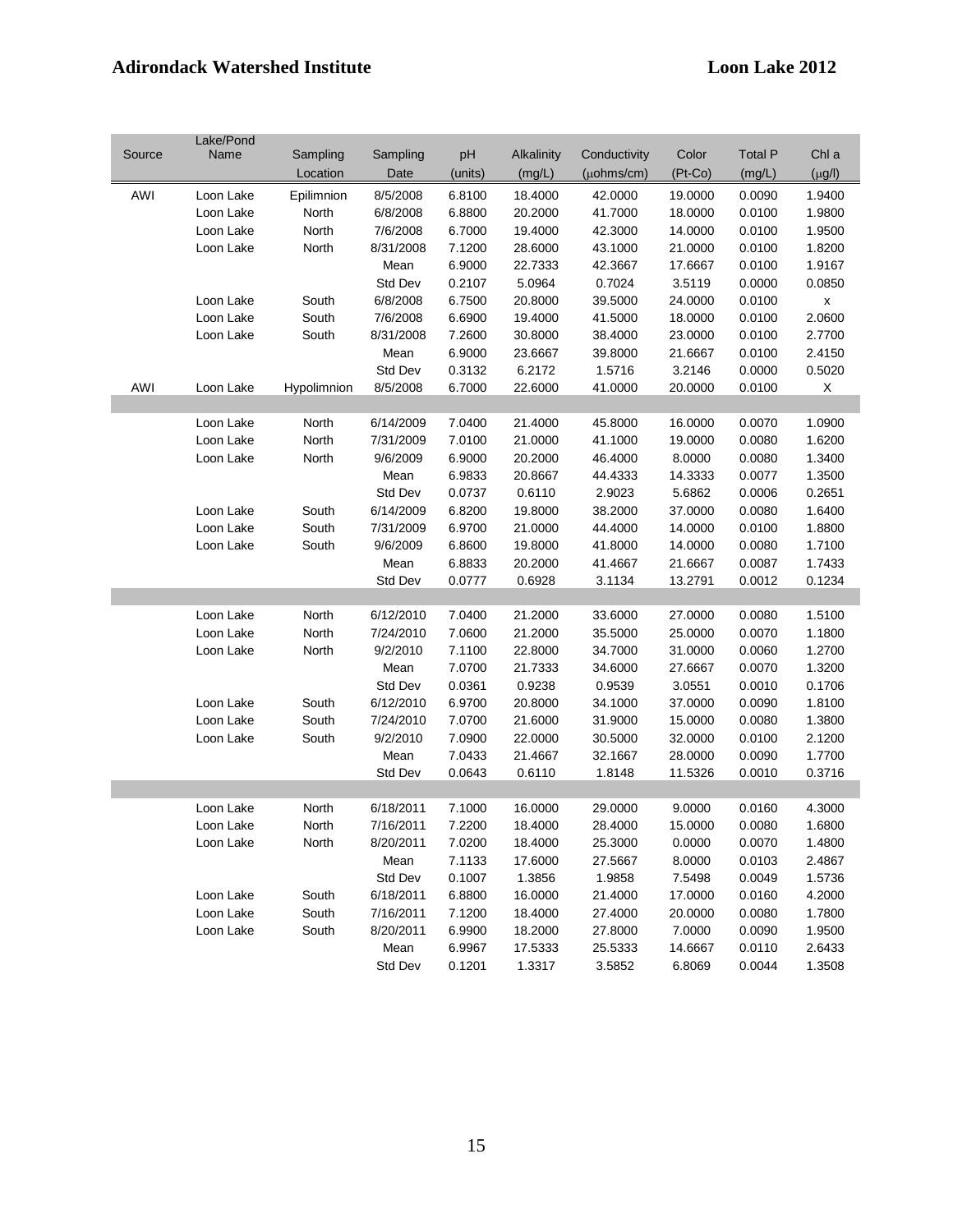|        | Lake/Pond |             |           |         |            |                    |           |                |                    |
|--------|-----------|-------------|-----------|---------|------------|--------------------|-----------|----------------|--------------------|
| Source | Name      | Sampling    | Sampling  | pH      | Alkalinity | Conductivity       | Color     | <b>Total P</b> | Chl a              |
|        |           | Location    | Date      | (units) | (mg/L)     | $(\mu$ ohms/cm $)$ | $(Pt-Co)$ | (mg/L)         | $(\mu g/l)$        |
| AWI    | Loon Lake | Epilimnion  | 8/5/2008  | 6.8100  | 18.4000    | 42.0000            | 19.0000   | 0.0090         | 1.9400             |
|        | Loon Lake | North       | 6/8/2008  | 6.8800  | 20.2000    | 41.7000            | 18.0000   | 0.0100         | 1.9800             |
|        | Loon Lake | North       | 7/6/2008  | 6.7000  | 19.4000    | 42.3000            | 14.0000   | 0.0100         | 1.9500             |
|        | Loon Lake | North       | 8/31/2008 | 7.1200  | 28.6000    | 43.1000            | 21.0000   | 0.0100         | 1.8200             |
|        |           |             |           |         |            |                    |           |                |                    |
|        |           |             | Mean      | 6.9000  | 22.7333    | 42.3667            | 17.6667   | 0.0100         | 1.9167             |
|        |           |             | Std Dev   | 0.2107  | 5.0964     | 0.7024             | 3.5119    | 0.0000         | 0.0850             |
|        | Loon Lake | South       | 6/8/2008  | 6.7500  | 20.8000    | 39.5000            | 24.0000   | 0.0100         | $\pmb{\mathsf{x}}$ |
|        | Loon Lake | South       | 7/6/2008  | 6.6900  | 19.4000    | 41.5000            | 18.0000   | 0.0100         | 2.0600             |
|        | Loon Lake | South       | 8/31/2008 | 7.2600  | 30.8000    | 38.4000            | 23.0000   | 0.0100         | 2.7700             |
|        |           |             | Mean      | 6.9000  | 23.6667    | 39.8000            | 21.6667   | 0.0100         | 2.4150             |
|        |           |             | Std Dev   | 0.3132  | 6.2172     | 1.5716             | 3.2146    | 0.0000         | 0.5020             |
| AWI    | Loon Lake | Hypolimnion | 8/5/2008  | 6.7000  | 22.6000    | 41.0000            | 20.0000   | 0.0100         | X                  |
|        |           |             |           |         |            |                    |           |                |                    |
|        | Loon Lake | North       | 6/14/2009 | 7.0400  | 21.4000    | 45.8000            | 16.0000   | 0.0070         | 1.0900             |
|        | Loon Lake | North       | 7/31/2009 | 7.0100  | 21.0000    | 41.1000            | 19.0000   | 0.0080         | 1.6200             |
|        | Loon Lake | North       | 9/6/2009  | 6.9000  | 20.2000    | 46.4000            | 8.0000    | 0.0080         | 1.3400             |
|        |           |             | Mean      | 6.9833  | 20.8667    | 44.4333            | 14.3333   | 0.0077         | 1.3500             |
|        |           |             | Std Dev   | 0.0737  | 0.6110     | 2.9023             | 5.6862    | 0.0006         | 0.2651             |
|        | Loon Lake | South       | 6/14/2009 | 6.8200  | 19.8000    | 38.2000            | 37.0000   | 0.0080         | 1.6400             |
|        | Loon Lake | South       | 7/31/2009 | 6.9700  | 21.0000    | 44.4000            | 14.0000   | 0.0100         | 1.8800             |
|        | Loon Lake | South       | 9/6/2009  | 6.8600  | 19.8000    | 41.8000            | 14.0000   | 0.0080         | 1.7100             |
|        |           |             | Mean      | 6.8833  | 20.2000    | 41.4667            | 21.6667   | 0.0087         | 1.7433             |
|        |           |             | Std Dev   | 0.0777  | 0.6928     | 3.1134             | 13.2791   | 0.0012         | 0.1234             |
|        |           |             |           |         |            |                    |           |                |                    |
|        | Loon Lake | North       | 6/12/2010 | 7.0400  | 21.2000    | 33.6000            | 27.0000   | 0.0080         | 1.5100             |
|        | Loon Lake | North       | 7/24/2010 | 7.0600  | 21.2000    | 35.5000            | 25.0000   | 0.0070         | 1.1800             |
|        |           |             | 9/2/2010  | 7.1100  | 22.8000    | 34.7000            | 31.0000   | 0.0060         | 1.2700             |
|        | Loon Lake | North       |           |         |            |                    |           |                |                    |
|        |           |             | Mean      | 7.0700  | 21.7333    | 34.6000            | 27.6667   | 0.0070         | 1.3200             |
|        |           |             | Std Dev   | 0.0361  | 0.9238     | 0.9539             | 3.0551    | 0.0010         | 0.1706             |
|        | Loon Lake | South       | 6/12/2010 | 6.9700  | 20.8000    | 34.1000            | 37.0000   | 0.0090         | 1.8100             |
|        | Loon Lake | South       | 7/24/2010 | 7.0700  | 21.6000    | 31.9000            | 15.0000   | 0.0080         | 1.3800             |
|        | Loon Lake | South       | 9/2/2010  | 7.0900  | 22.0000    | 30.5000            | 32.0000   | 0.0100         | 2.1200             |
|        |           |             | Mean      | 7.0433  | 21.4667    | 32.1667            | 28.0000   | 0.0090         | 1.7700             |
|        |           |             | Std Dev   | 0.0643  | 0.6110     | 1.8148             | 11.5326   | 0.0010         | 0.3716             |
|        |           |             |           |         |            |                    |           |                |                    |
|        | Loon Lake | North       | 6/18/2011 | 7.1000  | 16.0000    | 29.0000            | 9.0000    | 0.0160         | 4.3000             |
|        | Loon Lake | North       | 7/16/2011 | 7.2200  | 18.4000    | 28.4000            | 15.0000   | 0.0080         | 1.6800             |
|        | Loon Lake | North       | 8/20/2011 | 7.0200  | 18.4000    | 25.3000            | 0.0000    | 0.0070         | 1.4800             |
|        |           |             | Mean      | 7.1133  | 17.6000    | 27.5667            | 8.0000    | 0.0103         | 2.4867             |
|        |           |             | Std Dev   | 0.1007  | 1.3856     | 1.9858             | 7.5498    | 0.0049         | 1.5736             |
|        | Loon Lake | South       | 6/18/2011 | 6.8800  | 16.0000    | 21.4000            | 17.0000   | 0.0160         | 4.2000             |
|        | Loon Lake | South       | 7/16/2011 | 7.1200  | 18.4000    | 27.4000            | 20.0000   | 0.0080         | 1.7800             |
|        | Loon Lake | South       | 8/20/2011 | 6.9900  | 18.2000    | 27.8000            | 7.0000    | 0.0090         | 1.9500             |
|        |           |             | Mean      | 6.9967  | 17.5333    | 25.5333            | 14.6667   | 0.0110         | 2.6433             |
|        |           |             | Std Dev   | 0.1201  | 1.3317     | 3.5852             | 6.8069    | 0.0044         | 1.3508             |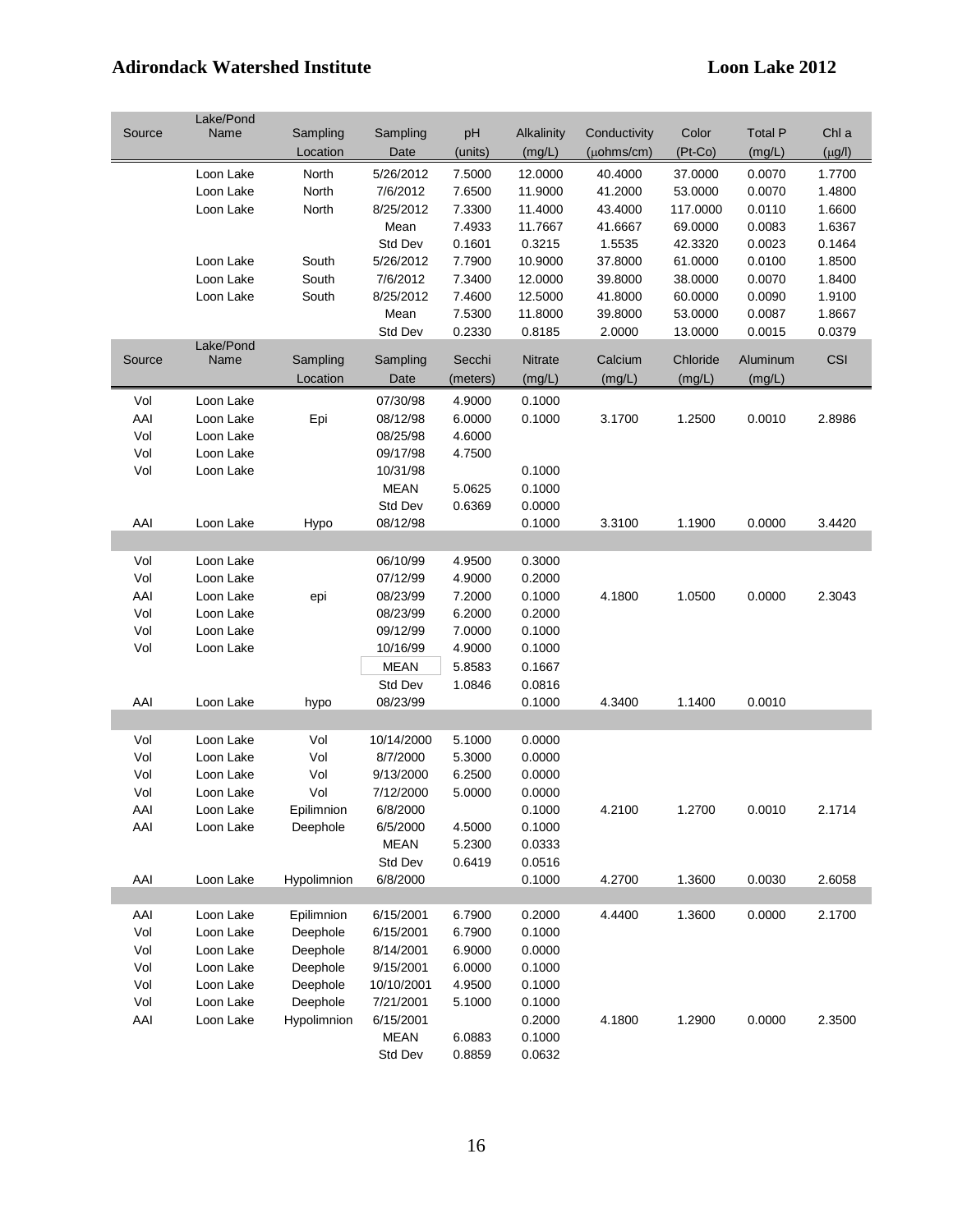|        | Lake/Pond |             |             |          |            |                    |           |                |             |
|--------|-----------|-------------|-------------|----------|------------|--------------------|-----------|----------------|-------------|
| Source | Name      | Sampling    | Sampling    | pH       | Alkalinity | Conductivity       | Color     | <b>Total P</b> | Chl a       |
|        |           | Location    | Date        | (units)  | (mg/L)     | $(\mu$ ohms/cm $)$ | $(Pt-Co)$ | (mg/L)         | $(\mu g/l)$ |
|        | Loon Lake | North       | 5/26/2012   | 7.5000   | 12.0000    | 40.4000            | 37.0000   | 0.0070         | 1.7700      |
|        | Loon Lake | North       | 7/6/2012    | 7.6500   | 11.9000    | 41.2000            | 53.0000   | 0.0070         | 1.4800      |
|        | Loon Lake | North       | 8/25/2012   | 7.3300   | 11.4000    | 43.4000            | 117.0000  | 0.0110         | 1.6600      |
|        |           |             | Mean        | 7.4933   | 11.7667    | 41.6667            | 69.0000   | 0.0083         | 1.6367      |
|        |           |             | Std Dev     | 0.1601   | 0.3215     | 1.5535             | 42.3320   | 0.0023         | 0.1464      |
|        | Loon Lake | South       | 5/26/2012   | 7.7900   | 10.9000    | 37.8000            | 61.0000   | 0.0100         | 1.8500      |
|        | Loon Lake | South       | 7/6/2012    | 7.3400   | 12.0000    | 39.8000            | 38.0000   | 0.0070         | 1.8400      |
|        | Loon Lake | South       | 8/25/2012   | 7.4600   | 12.5000    | 41.8000            | 60.0000   | 0.0090         | 1.9100      |
|        |           |             | Mean        | 7.5300   | 11.8000    | 39.8000            | 53.0000   | 0.0087         | 1.8667      |
|        |           |             | Std Dev     | 0.2330   | 0.8185     | 2.0000             | 13.0000   | 0.0015         | 0.0379      |
|        | Lake/Pond |             |             |          |            |                    |           |                |             |
| Source | Name      | Sampling    | Sampling    | Secchi   | Nitrate    | Calcium            | Chloride  | Aluminum       | <b>CSI</b>  |
|        |           | Location    | Date        | (meters) | (mg/L)     | (mg/L)             | (mg/L)    | (mg/L)         |             |
| Vol    | Loon Lake |             | 07/30/98    | 4.9000   | 0.1000     |                    |           |                |             |
| AAI    | Loon Lake | Epi         | 08/12/98    | 6.0000   | 0.1000     | 3.1700             | 1.2500    | 0.0010         | 2.8986      |
| Vol    | Loon Lake |             | 08/25/98    | 4.6000   |            |                    |           |                |             |
| Vol    | Loon Lake |             | 09/17/98    | 4.7500   |            |                    |           |                |             |
| Vol    | Loon Lake |             | 10/31/98    |          | 0.1000     |                    |           |                |             |
|        |           |             | <b>MEAN</b> | 5.0625   | 0.1000     |                    |           |                |             |
|        |           |             | Std Dev     | 0.6369   | 0.0000     |                    |           |                |             |
| AAI    | Loon Lake | Hypo        | 08/12/98    |          | 0.1000     | 3.3100             | 1.1900    | 0.0000         | 3.4420      |
|        |           |             |             |          |            |                    |           |                |             |
|        |           |             |             |          |            |                    |           |                |             |
| Vol    | Loon Lake |             | 06/10/99    | 4.9500   | 0.3000     |                    |           |                |             |
| Vol    | Loon Lake |             | 07/12/99    | 4.9000   | 0.2000     |                    |           |                |             |
| AAI    | Loon Lake | epi         | 08/23/99    | 7.2000   | 0.1000     | 4.1800             | 1.0500    | 0.0000         | 2.3043      |
| Vol    | Loon Lake |             | 08/23/99    | 6.2000   | 0.2000     |                    |           |                |             |
| Vol    | Loon Lake |             | 09/12/99    | 7.0000   | 0.1000     |                    |           |                |             |
| Vol    | Loon Lake |             | 10/16/99    | 4.9000   | 0.1000     |                    |           |                |             |
|        |           |             | <b>MEAN</b> | 5.8583   | 0.1667     |                    |           |                |             |
|        |           |             | Std Dev     | 1.0846   | 0.0816     |                    |           |                |             |
| AAI    | Loon Lake | hypo        | 08/23/99    |          | 0.1000     | 4.3400             | 1.1400    | 0.0010         |             |
|        |           |             |             |          |            |                    |           |                |             |
| Vol    | Loon Lake | Vol         | 10/14/2000  | 5.1000   | 0.0000     |                    |           |                |             |
| Vol    | Loon Lake | Vol         | 8/7/2000    | 5.3000   | 0.0000     |                    |           |                |             |
| Vol    | Loon Lake | Vol         | 9/13/2000   | 6.2500   | 0.0000     |                    |           |                |             |
| Vol    | Loon Lake | Vol         | 7/12/2000   | 5.0000   | 0.0000     |                    |           |                |             |
| AAI    | Loon Lake | Epilimnion  | 6/8/2000    |          | 0.1000     | 4.2100             | 1.2700    | 0.0010         | 2.1714      |
| AAI    | Loon Lake | Deephole    | 6/5/2000    | 4.5000   | 0.1000     |                    |           |                |             |
|        |           |             | <b>MEAN</b> | 5.2300   | 0.0333     |                    |           |                |             |
|        |           |             | Std Dev     | 0.6419   | 0.0516     |                    |           |                |             |
| AAI    | Loon Lake | Hypolimnion | 6/8/2000    |          | 0.1000     | 4.2700             | 1.3600    | 0.0030         | 2.6058      |
|        |           |             |             |          |            |                    |           |                |             |
| AAI    | Loon Lake | Epilimnion  | 6/15/2001   | 6.7900   | 0.2000     | 4.4400             | 1.3600    | 0.0000         | 2.1700      |
| Vol    | Loon Lake | Deephole    | 6/15/2001   | 6.7900   | 0.1000     |                    |           |                |             |
| Vol    | Loon Lake | Deephole    | 8/14/2001   | 6.9000   | 0.0000     |                    |           |                |             |
| Vol    | Loon Lake | Deephole    | 9/15/2001   | 6.0000   | 0.1000     |                    |           |                |             |
| Vol    | Loon Lake | Deephole    | 10/10/2001  | 4.9500   | 0.1000     |                    |           |                |             |
| Vol    | Loon Lake | Deephole    | 7/21/2001   | 5.1000   | 0.1000     |                    |           |                |             |
| AAI    | Loon Lake | Hypolimnion | 6/15/2001   |          | 0.2000     | 4.1800             | 1.2900    | 0.0000         | 2.3500      |
|        |           |             | <b>MEAN</b> | 6.0883   | 0.1000     |                    |           |                |             |
|        |           |             | Std Dev     | 0.8859   | 0.0632     |                    |           |                |             |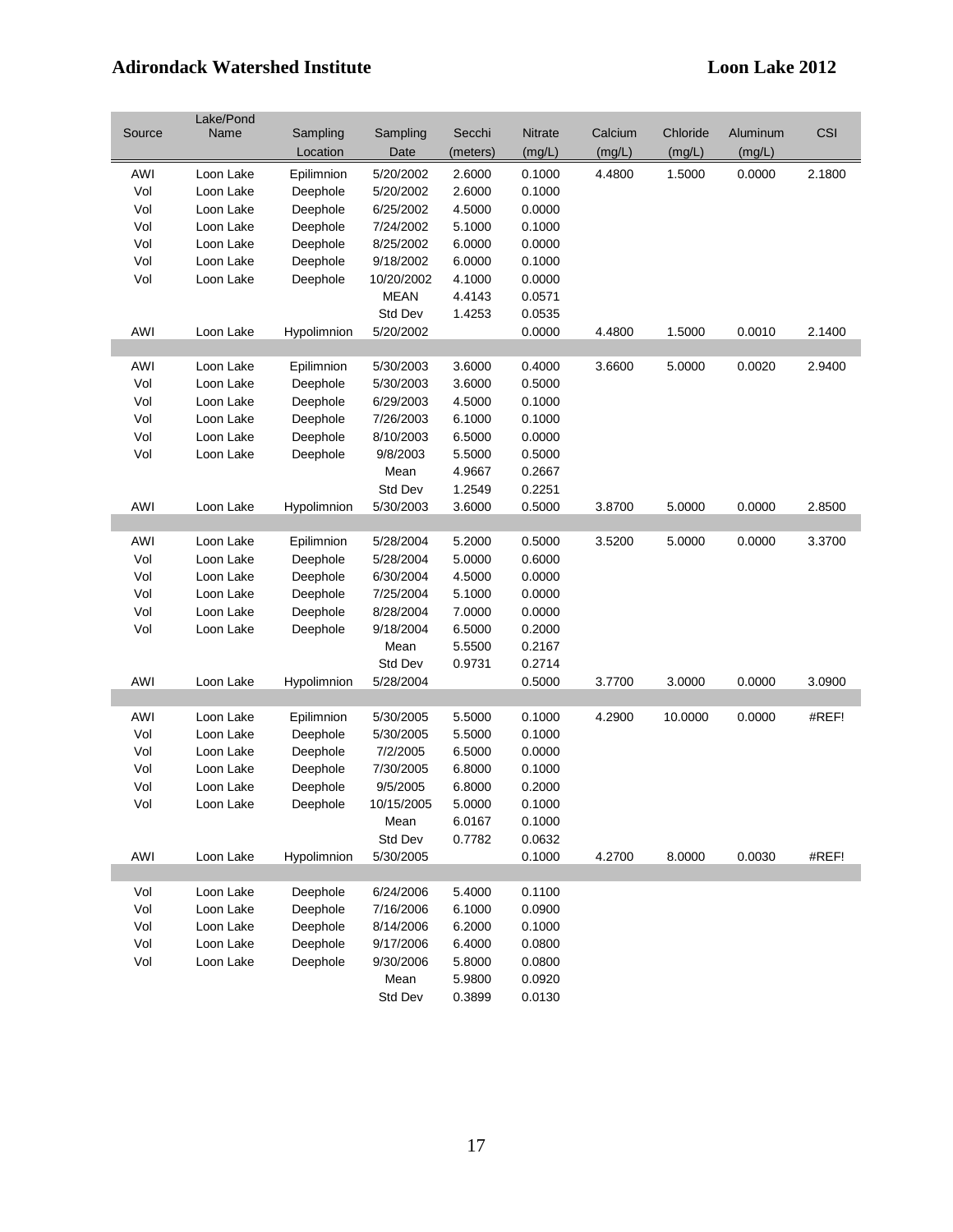|        | Lake/Pond |             |             |          |         |         |          |          |        |
|--------|-----------|-------------|-------------|----------|---------|---------|----------|----------|--------|
| Source | Name      | Sampling    | Sampling    | Secchi   | Nitrate | Calcium | Chloride | Aluminum | CSI    |
|        |           | Location    | Date        | (meters) | (mg/L)  | (mg/L)  | (mg/L)   | (mg/L)   |        |
| AWI    | Loon Lake | Epilimnion  | 5/20/2002   | 2.6000   | 0.1000  | 4.4800  | 1.5000   | 0.0000   | 2.1800 |
| Vol    | Loon Lake | Deephole    | 5/20/2002   | 2.6000   | 0.1000  |         |          |          |        |
| Vol    | Loon Lake | Deephole    | 6/25/2002   | 4.5000   | 0.0000  |         |          |          |        |
| Vol    | Loon Lake | Deephole    | 7/24/2002   | 5.1000   | 0.1000  |         |          |          |        |
| Vol    | Loon Lake | Deephole    | 8/25/2002   | 6.0000   | 0.0000  |         |          |          |        |
| Vol    | Loon Lake | Deephole    | 9/18/2002   | 6.0000   | 0.1000  |         |          |          |        |
| Vol    | Loon Lake | Deephole    | 10/20/2002  | 4.1000   | 0.0000  |         |          |          |        |
|        |           |             | <b>MEAN</b> | 4.4143   | 0.0571  |         |          |          |        |
|        |           |             | Std Dev     | 1.4253   | 0.0535  |         |          |          |        |
| AWI    | Loon Lake | Hypolimnion | 5/20/2002   |          | 0.0000  | 4.4800  | 1.5000   | 0.0010   | 2.1400 |
|        |           |             |             |          |         |         |          |          |        |
| AWI    | Loon Lake | Epilimnion  | 5/30/2003   | 3.6000   | 0.4000  | 3.6600  | 5.0000   | 0.0020   | 2.9400 |
| Vol    | Loon Lake | Deephole    | 5/30/2003   | 3.6000   | 0.5000  |         |          |          |        |
| Vol    | Loon Lake | Deephole    | 6/29/2003   | 4.5000   | 0.1000  |         |          |          |        |
| Vol    | Loon Lake | Deephole    | 7/26/2003   | 6.1000   | 0.1000  |         |          |          |        |
| Vol    | Loon Lake | Deephole    | 8/10/2003   | 6.5000   | 0.0000  |         |          |          |        |
| Vol    | Loon Lake | Deephole    | 9/8/2003    | 5.5000   | 0.5000  |         |          |          |        |
|        |           |             | Mean        | 4.9667   | 0.2667  |         |          |          |        |
|        |           |             | Std Dev     | 1.2549   | 0.2251  |         |          |          |        |
| AWI    | Loon Lake | Hypolimnion | 5/30/2003   | 3.6000   | 0.5000  | 3.8700  | 5.0000   | 0.0000   | 2.8500 |
|        |           |             |             |          |         |         |          |          |        |
| AWI    | Loon Lake | Epilimnion  | 5/28/2004   | 5.2000   | 0.5000  | 3.5200  | 5.0000   | 0.0000   | 3.3700 |
| Vol    | Loon Lake | Deephole    | 5/28/2004   | 5.0000   | 0.6000  |         |          |          |        |
| Vol    | Loon Lake | Deephole    | 6/30/2004   | 4.5000   | 0.0000  |         |          |          |        |
| Vol    | Loon Lake | Deephole    | 7/25/2004   | 5.1000   | 0.0000  |         |          |          |        |
| Vol    | Loon Lake | Deephole    | 8/28/2004   | 7.0000   | 0.0000  |         |          |          |        |
| Vol    | Loon Lake | Deephole    | 9/18/2004   | 6.5000   | 0.2000  |         |          |          |        |
|        |           |             | Mean        | 5.5500   | 0.2167  |         |          |          |        |
|        |           |             | Std Dev     | 0.9731   | 0.2714  |         |          |          |        |
| AWI    | Loon Lake | Hypolimnion | 5/28/2004   |          | 0.5000  | 3.7700  | 3.0000   | 0.0000   | 3.0900 |
|        |           |             |             |          |         |         |          |          |        |
| AWI    | Loon Lake | Epilimnion  | 5/30/2005   | 5.5000   | 0.1000  | 4.2900  | 10.0000  | 0.0000   | #REF!  |
| Vol    | Loon Lake | Deephole    | 5/30/2005   | 5.5000   | 0.1000  |         |          |          |        |
| Vol    | Loon Lake | Deephole    | 7/2/2005    | 6.5000   | 0.0000  |         |          |          |        |
| Vol    | Loon Lake | Deephole    | 7/30/2005   | 6.8000   | 0.1000  |         |          |          |        |
| Vol    | Loon Lake | Deephole    | 9/5/2005    | 6.8000   | 0.2000  |         |          |          |        |
| Vol    | Loon Lake | Deephole    | 10/15/2005  | 5.0000   | 0.1000  |         |          |          |        |
|        |           |             | Mean        | 6.0167   | 0.1000  |         |          |          |        |
|        |           |             | Std Dev     | 0.7782   | 0.0632  |         |          |          |        |
| AWI    | Loon Lake | Hypolimnion | 5/30/2005   |          | 0.1000  | 4.2700  | 8.0000   | 0.0030   | #REF!  |
|        |           |             |             |          |         |         |          |          |        |
| Vol    | Loon Lake | Deephole    | 6/24/2006   | 5.4000   | 0.1100  |         |          |          |        |
| Vol    | Loon Lake | Deephole    | 7/16/2006   | 6.1000   | 0.0900  |         |          |          |        |
| Vol    | Loon Lake | Deephole    | 8/14/2006   | 6.2000   | 0.1000  |         |          |          |        |
| Vol    | Loon Lake | Deephole    | 9/17/2006   | 6.4000   | 0.0800  |         |          |          |        |
| Vol    | Loon Lake | Deephole    | 9/30/2006   | 5.8000   | 0.0800  |         |          |          |        |
|        |           |             | Mean        | 5.9800   | 0.0920  |         |          |          |        |
|        |           |             | Std Dev     | 0.3899   | 0.0130  |         |          |          |        |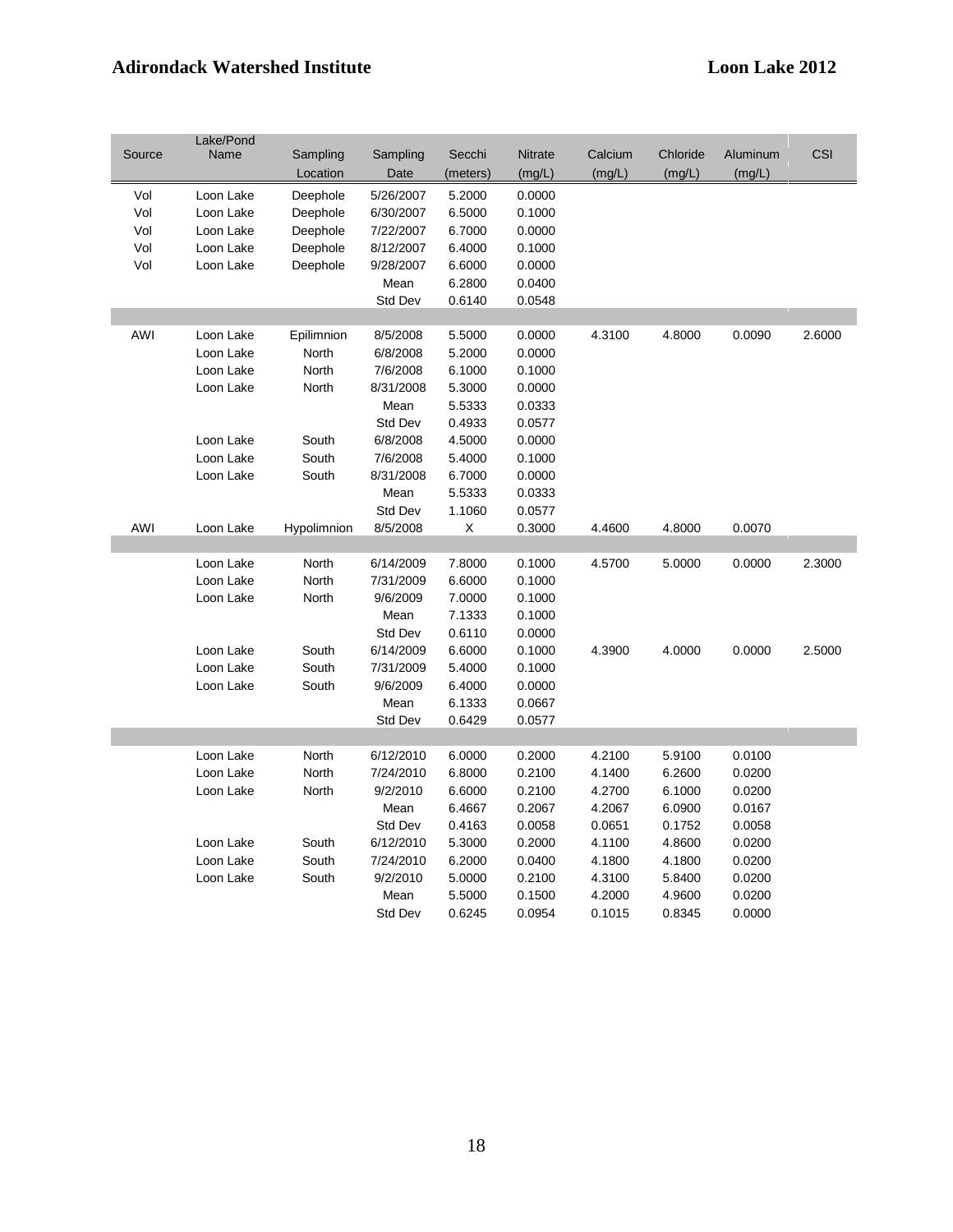|        | Lake/Pond |             |           |          |         |         |          |          |        |
|--------|-----------|-------------|-----------|----------|---------|---------|----------|----------|--------|
| Source | Name      | Sampling    | Sampling  | Secchi   | Nitrate | Calcium | Chloride | Aluminum | CSI    |
|        |           | Location    | Date      | (meters) | (mg/L)  | (mg/L)  | (mg/L)   | (mg/L)   |        |
| Vol    | Loon Lake | Deephole    | 5/26/2007 | 5.2000   | 0.0000  |         |          |          |        |
| Vol    | Loon Lake | Deephole    | 6/30/2007 | 6.5000   | 0.1000  |         |          |          |        |
| Vol    | Loon Lake | Deephole    | 7/22/2007 | 6.7000   | 0.0000  |         |          |          |        |
| Vol    | Loon Lake | Deephole    | 8/12/2007 | 6.4000   | 0.1000  |         |          |          |        |
| Vol    | Loon Lake | Deephole    | 9/28/2007 | 6.6000   | 0.0000  |         |          |          |        |
|        |           |             | Mean      | 6.2800   | 0.0400  |         |          |          |        |
|        |           |             | Std Dev   | 0.6140   | 0.0548  |         |          |          |        |
|        |           |             |           |          |         |         |          |          |        |
| AWI    | Loon Lake | Epilimnion  | 8/5/2008  | 5.5000   | 0.0000  | 4.3100  | 4.8000   | 0.0090   | 2.6000 |
|        | Loon Lake | North       | 6/8/2008  | 5.2000   | 0.0000  |         |          |          |        |
|        | Loon Lake | North       | 7/6/2008  | 6.1000   | 0.1000  |         |          |          |        |
|        | Loon Lake | North       | 8/31/2008 | 5.3000   | 0.0000  |         |          |          |        |
|        |           |             | Mean      | 5.5333   | 0.0333  |         |          |          |        |
|        |           |             | Std Dev   | 0.4933   | 0.0577  |         |          |          |        |
|        | Loon Lake | South       | 6/8/2008  | 4.5000   | 0.0000  |         |          |          |        |
|        | Loon Lake | South       | 7/6/2008  | 5.4000   | 0.1000  |         |          |          |        |
|        | Loon Lake | South       | 8/31/2008 | 6.7000   | 0.0000  |         |          |          |        |
|        |           |             | Mean      | 5.5333   | 0.0333  |         |          |          |        |
|        |           |             | Std Dev   | 1.1060   | 0.0577  |         |          |          |        |
| AWI    | Loon Lake | Hypolimnion | 8/5/2008  | X        | 0.3000  | 4.4600  | 4.8000   | 0.0070   |        |
|        |           |             |           |          |         |         |          |          |        |
|        | Loon Lake | North       | 6/14/2009 | 7.8000   | 0.1000  | 4.5700  | 5.0000   | 0.0000   | 2.3000 |
|        | Loon Lake | North       | 7/31/2009 | 6.6000   | 0.1000  |         |          |          |        |
|        | Loon Lake | North       | 9/6/2009  | 7.0000   | 0.1000  |         |          |          |        |
|        |           |             | Mean      | 7.1333   | 0.1000  |         |          |          |        |
|        |           |             | Std Dev   | 0.6110   | 0.0000  |         |          |          |        |
|        | Loon Lake | South       | 6/14/2009 | 6.6000   | 0.1000  | 4.3900  | 4.0000   | 0.0000   | 2.5000 |
|        | Loon Lake | South       | 7/31/2009 | 5.4000   | 0.1000  |         |          |          |        |
|        | Loon Lake | South       | 9/6/2009  | 6.4000   | 0.0000  |         |          |          |        |
|        |           |             | Mean      | 6.1333   | 0.0667  |         |          |          |        |
|        |           |             | Std Dev   | 0.6429   | 0.0577  |         |          |          |        |
|        |           |             |           |          |         |         |          |          |        |
|        | Loon Lake | North       | 6/12/2010 | 6.0000   | 0.2000  | 4.2100  | 5.9100   | 0.0100   |        |
|        | Loon Lake | North       | 7/24/2010 | 6.8000   | 0.2100  | 4.1400  | 6.2600   | 0.0200   |        |
|        | Loon Lake | North       | 9/2/2010  | 6.6000   | 0.2100  | 4.2700  | 6.1000   | 0.0200   |        |
|        |           |             | Mean      | 6.4667   | 0.2067  | 4.2067  | 6.0900   | 0.0167   |        |
|        |           |             | Std Dev   | 0.4163   | 0.0058  | 0.0651  | 0.1752   | 0.0058   |        |
|        | Loon Lake | South       | 6/12/2010 | 5.3000   | 0.2000  | 4.1100  | 4.8600   | 0.0200   |        |
|        | Loon Lake | South       | 7/24/2010 | 6.2000   | 0.0400  | 4.1800  | 4.1800   | 0.0200   |        |
|        | Loon Lake | South       | 9/2/2010  | 5.0000   | 0.2100  | 4.3100  | 5.8400   | 0.0200   |        |
|        |           |             | Mean      | 5.5000   | 0.1500  | 4.2000  | 4.9600   | 0.0200   |        |
|        |           |             | Std Dev   | 0.6245   | 0.0954  | 0.1015  | 0.8345   | 0.0000   |        |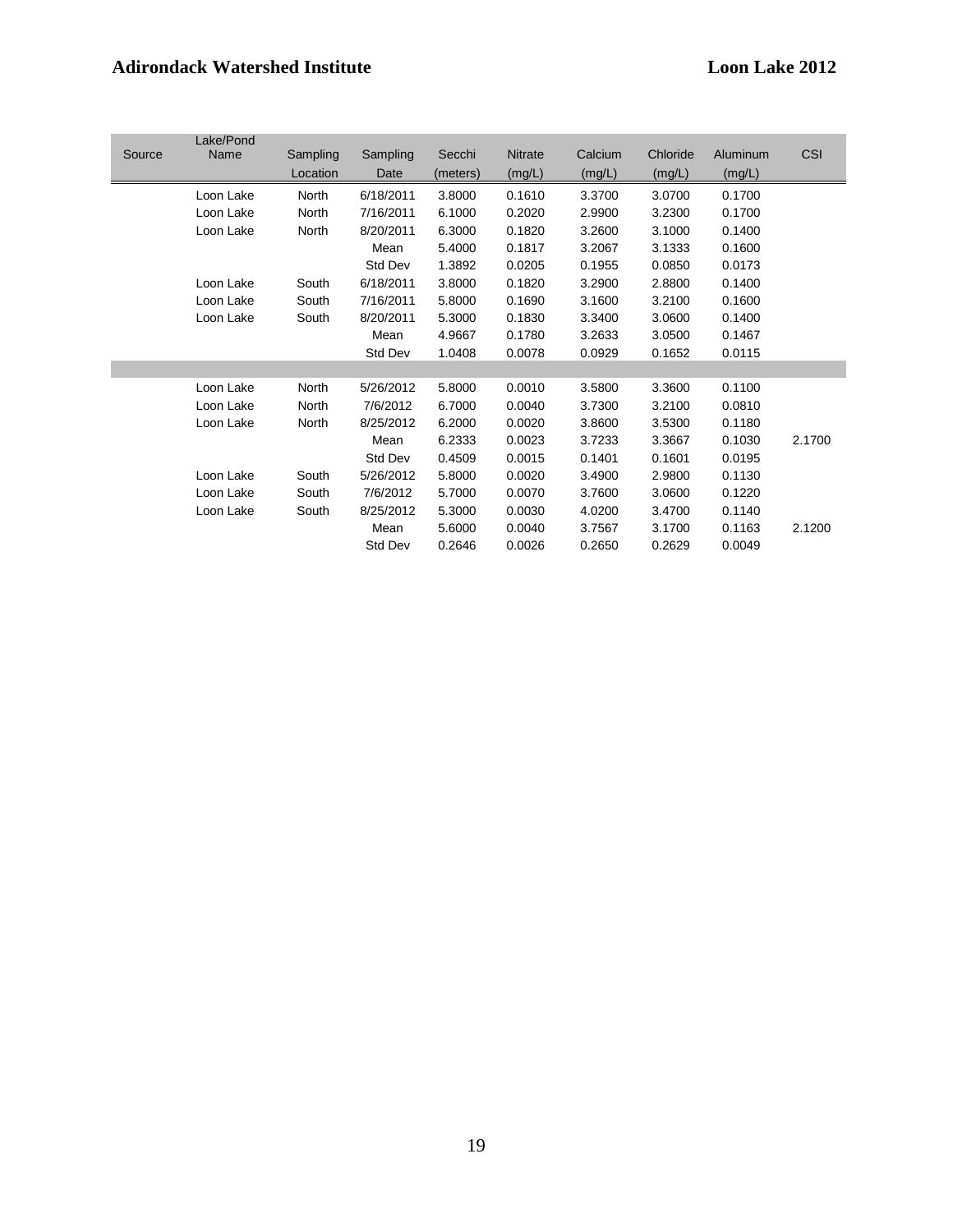|        | Lake/Pond |          |           |          |                |         |          |          |            |
|--------|-----------|----------|-----------|----------|----------------|---------|----------|----------|------------|
| Source | Name      | Sampling | Sampling  | Secchi   | <b>Nitrate</b> | Calcium | Chloride | Aluminum | <b>CSI</b> |
|        |           | Location | Date      | (meters) | (mg/L)         | (mg/L)  | (mg/L)   | (mg/L)   |            |
|        | Loon Lake | North    | 6/18/2011 | 3.8000   | 0.1610         | 3.3700  | 3.0700   | 0.1700   |            |
|        | Loon Lake | North    | 7/16/2011 | 6.1000   | 0.2020         | 2.9900  | 3.2300   | 0.1700   |            |
|        | Loon Lake | North    | 8/20/2011 | 6.3000   | 0.1820         | 3.2600  | 3.1000   | 0.1400   |            |
|        |           |          | Mean      | 5.4000   | 0.1817         | 3.2067  | 3.1333   | 0.1600   |            |
|        |           |          | Std Dev   | 1.3892   | 0.0205         | 0.1955  | 0.0850   | 0.0173   |            |
|        | Loon Lake | South    | 6/18/2011 | 3.8000   | 0.1820         | 3.2900  | 2.8800   | 0.1400   |            |
|        | Loon Lake | South    | 7/16/2011 | 5.8000   | 0.1690         | 3.1600  | 3.2100   | 0.1600   |            |
|        | Loon Lake | South    | 8/20/2011 | 5.3000   | 0.1830         | 3.3400  | 3.0600   | 0.1400   |            |
|        |           |          | Mean      | 4.9667   | 0.1780         | 3.2633  | 3.0500   | 0.1467   |            |
|        |           |          | Std Dev   | 1.0408   | 0.0078         | 0.0929  | 0.1652   | 0.0115   |            |
|        |           |          |           |          |                |         |          |          |            |
|        | Loon Lake | North    | 5/26/2012 | 5.8000   | 0.0010         | 3.5800  | 3.3600   | 0.1100   |            |
|        | Loon Lake | North    | 7/6/2012  | 6.7000   | 0.0040         | 3.7300  | 3.2100   | 0.0810   |            |
|        | Loon Lake | North    | 8/25/2012 | 6.2000   | 0.0020         | 3.8600  | 3.5300   | 0.1180   |            |
|        |           |          | Mean      | 6.2333   | 0.0023         | 3.7233  | 3.3667   | 0.1030   | 2.1700     |
|        |           |          | Std Dev   | 0.4509   | 0.0015         | 0.1401  | 0.1601   | 0.0195   |            |
|        | Loon Lake | South    | 5/26/2012 | 5.8000   | 0.0020         | 3.4900  | 2.9800   | 0.1130   |            |
|        | Loon Lake | South    | 7/6/2012  | 5.7000   | 0.0070         | 3.7600  | 3.0600   | 0.1220   |            |
|        | Loon Lake | South    | 8/25/2012 | 5.3000   | 0.0030         | 4.0200  | 3.4700   | 0.1140   |            |
|        |           |          | Mean      | 5.6000   | 0.0040         | 3.7567  | 3.1700   | 0.1163   | 2.1200     |
|        |           |          | Std Dev   | 0.2646   | 0.0026         | 0.2650  | 0.2629   | 0.0049   |            |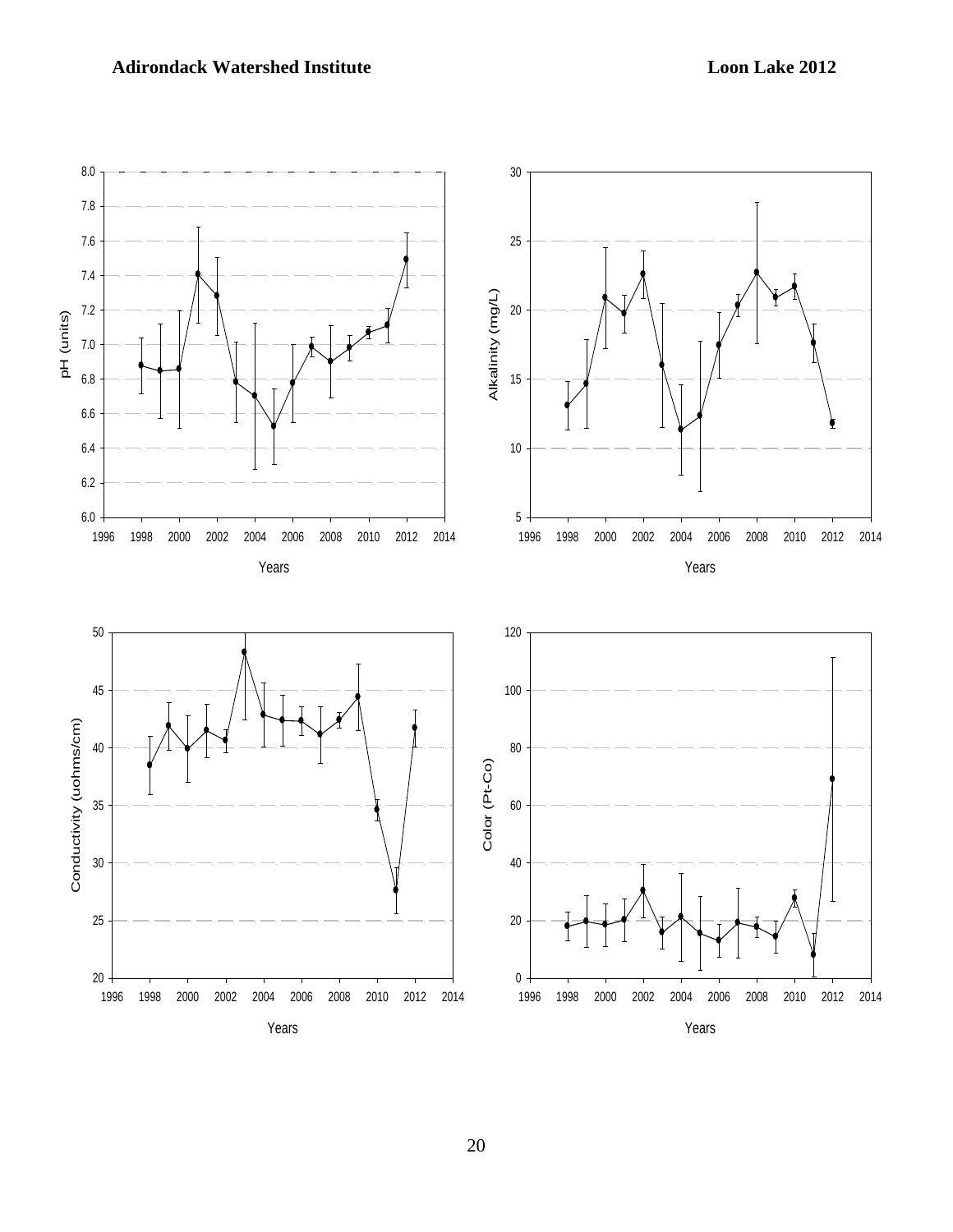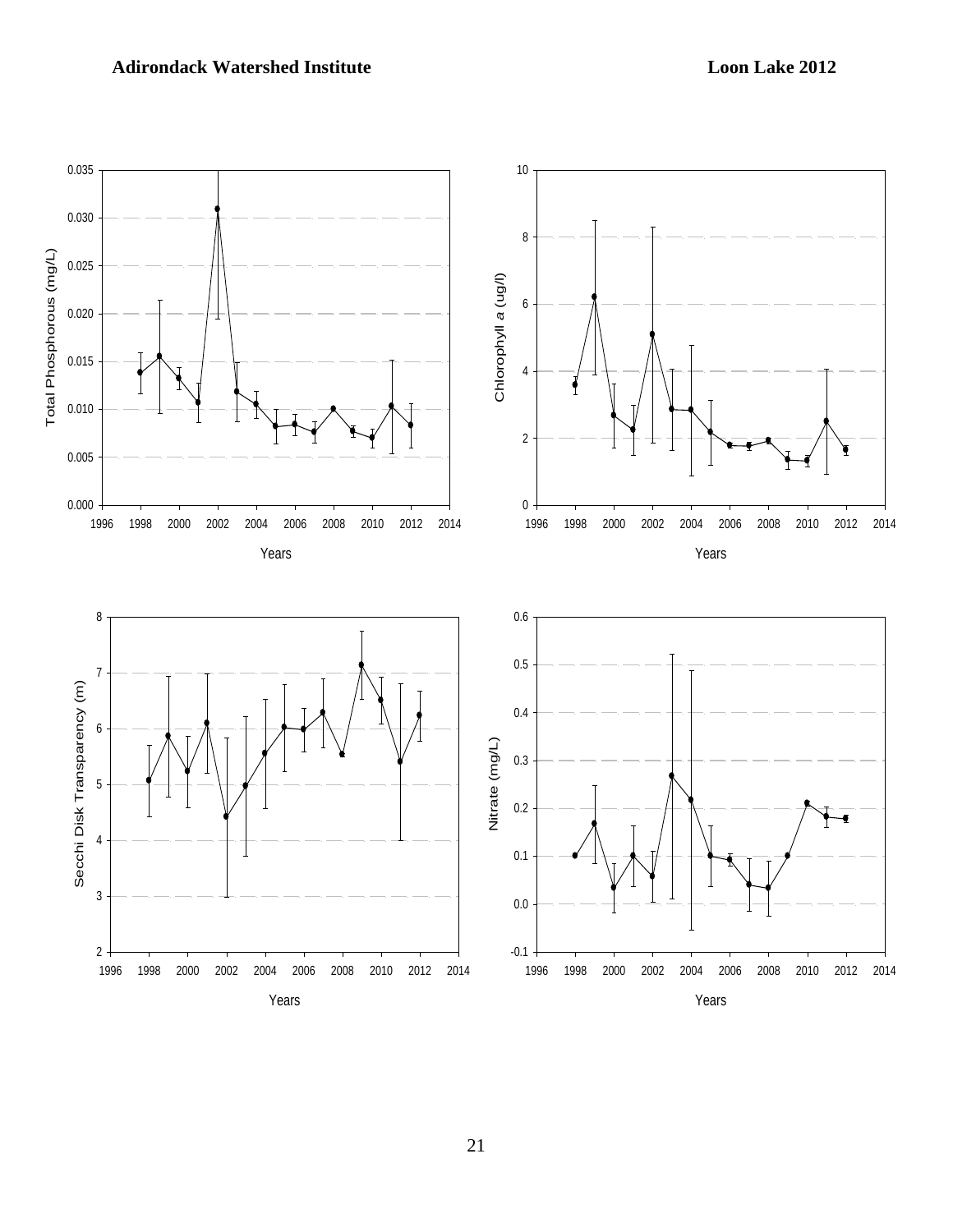